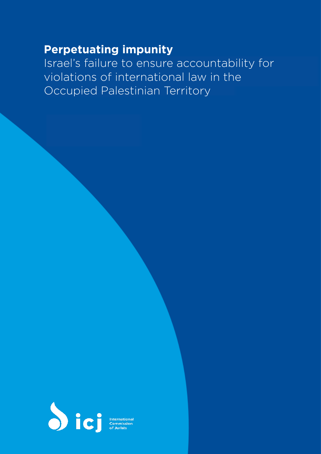# <span id="page-0-0"></span>**Perpetuating impunity**

<span id="page-0-22"></span><span id="page-0-16"></span><span id="page-0-15"></span><span id="page-0-14"></span><span id="page-0-13"></span><span id="page-0-12"></span><span id="page-0-11"></span><span id="page-0-9"></span><span id="page-0-8"></span><span id="page-0-7"></span><span id="page-0-5"></span><span id="page-0-4"></span><span id="page-0-3"></span><span id="page-0-2"></span>Israel's failure to ensure accountability for violations of international law in the Occupied Palestinian Territory

<span id="page-0-21"></span><span id="page-0-20"></span><span id="page-0-19"></span><span id="page-0-18"></span><span id="page-0-17"></span><span id="page-0-10"></span><span id="page-0-6"></span><span id="page-0-1"></span>

International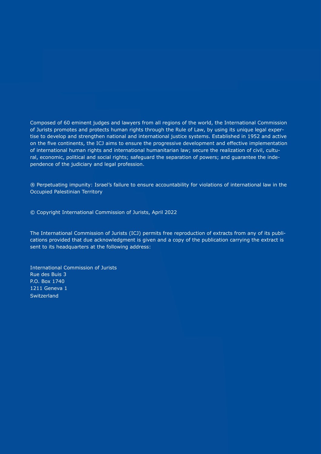Composed of 60 eminent judges and lawyers from all regions of the world, the International Commission of Jurists promotes and protects human rights through the Rule of Law, by using its unique legal expertise to develop and strengthen national and international justice systems. Established in 1952 and active on the five continents, the ICJ aims to ensure the progressive development and effective implementation of international human rights and international humanitarian law; secure the realization of civil, cultural, economic, political and social rights; safeguard the separation of powers; and guarantee the independence of the judiciary and legal profession.

® Perpetuating impunity: Israel's failure to ensure accountability for violations of international law in the Occupied Palestinian Territory

© Copyright International Commission of Jurists, April 2022

The International Commission of Jurists (ICJ) permits free reproduction of extracts from any of its publications provided that due acknowledgment is given and a copy of the publication carrying the extract is sent to its headquarters at the following address:

International Commission of Jurists Rue des Buis 3 P.O. Box 1740 1211 Geneva 1 **Switzerland**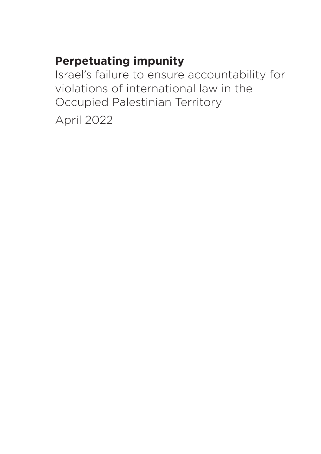# **Perpetuating impunity**

Israel's failure to ensure accountability for violations of international law in the Occupied Palestinian Territory

April 2022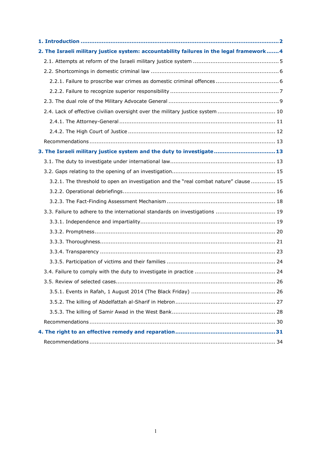| 2. The Israeli military justice system: accountability failures in the legal framework 4 |
|------------------------------------------------------------------------------------------|
|                                                                                          |
|                                                                                          |
|                                                                                          |
|                                                                                          |
|                                                                                          |
| 2.4. Lack of effective civilian oversight over the military justice system  10           |
|                                                                                          |
|                                                                                          |
|                                                                                          |
| 3. The Israeli military justice system and the duty to investigate 13                    |
|                                                                                          |
|                                                                                          |
| 3.2.1. The threshold to open an investigation and the "real combat nature" clause  15    |
|                                                                                          |
|                                                                                          |
| 3.3. Failure to adhere to the international standards on investigations  19              |
|                                                                                          |
|                                                                                          |
|                                                                                          |
|                                                                                          |
|                                                                                          |
|                                                                                          |
|                                                                                          |
|                                                                                          |
|                                                                                          |
|                                                                                          |
|                                                                                          |
|                                                                                          |
|                                                                                          |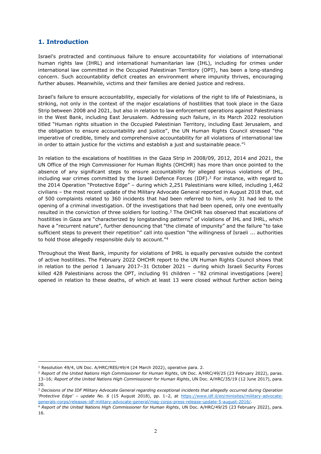# **1. Introduction**

Israel's protracted and continuous failure to ensure accountability for violations of international human rights law (IHRL) and international humanitarian law (IHL), including for crimes under international law committed in the Occupied Palestinian Territory (OPT), has been a long-standing concern. Such accountability deficit creates an environment where impunity thrives, encouraging further abuses. Meanwhile, victims and their families are denied justice and redress.

Israel's failure to ensure accountability, especially for violations of the right to life of Palestinians, is striking, not only in the context of the major escalations of hostilities that took place in the Gaza Strip between 2008 and 2021, but also in relation to law enforcement operations against Palestinians in the West Bank, including East Jerusalem. Addressing such failure, in its March 2022 resolution titled "Human rights situation in the Occupied Palestinian Territory, including East Jerusalem, and the obligation to ensure accountability and justice", the UN Human Rights Council stressed "the imperative of credible, timely and comprehensive accountability for all violations of international law in order to attain justice for the victims and establish a just and sustainable peace." $1$ 

In relation to the escalations of hostilities in the Gaza Strip in 2008/09, 2012, 2014 and 2021, the UN Office of the High Commissioner for Human Rights (OHCHR) has more than once pointed to the absence of any significant steps to ensure accountability for alleged serious violations of IHL, including war crimes committed by the Israeli Defence Forces (IDF).<sup>2</sup> For instance, with regard to the 2014 Operation "Protective Edge" - during which 2,251 Palestinians were killed, including 1,462 civilians - the most recent update of the Military Advocate General reported in August 2018 that, out of 500 complaints related to 360 incidents that had been referred to him, only 31 had led to the opening of a criminal investigation. Of the investigations that had been opened, only one eventually resulted in the conviction of three soldiers for looting.<sup>3</sup> The OHCHR has observed that escalations of hostilities in Gaza are "characterized by longstanding patterns" of violations of IHL and IHRL, which have a "recurrent nature", further denouncing that "the climate of impunity" and the failure "to take sufficient steps to prevent their repetition" call into question "the willingness of Israeli ... authorities to hold those allegedly responsible duly to account."<sup>4</sup>

Throughout the West Bank, impunity for violations of IHRL is equally pervasive outside the context of active hostilities. The February 2022 OHCHR report to the UN Human Rights Council shows that in relation to the period 1 January 2017-31 October 2021 - during which Israeli Security Forces killed 428 Palestinians across the OPT, including 91 children  $-$  "82 criminal investigations [were] opened in relation to these deaths, of which at least 13 were closed without further action being

<sup>&</sup>lt;sup>1</sup> Resolution 49/4, UN Doc. A/HRC/RES/49/4 (24 March 2022), operative para. 2.

<sup>2</sup> *Report of the United Nations High Commissioner for Human Rights*, UN Doc. A/HRC/49/25 (23 February 2022), paras. 13±16; *Report of the United Nations High Commissioner for Human Rights*, UN Doc. A/HRC/35/19 (12 June 2017), para. 20.

<sup>3</sup> *Decisions of the IDF Military Advocate General regarding exceptional incidents that allegedly occurred during Operation µ3URWHFWLYH (GJH¶ ± update No. 6* (15 August 2018), pp. 1±2, at [https://www.idf.il/en/minisites/military-advocate](https://www.idf.il/en/minisites/military-advocate-generals-corps/releases-idf-military-advocate-general/mag-corps-press-release-update-5-august-2016/)[generals-corps/releases-idf-military-advocate-general/mag-corps-press-release-update-5-august-2016/.](https://www.idf.il/en/minisites/military-advocate-generals-corps/releases-idf-military-advocate-general/mag-corps-press-release-update-5-august-2016/)

<sup>4</sup> *Report of the United Nations High Commissioner for Human Rights*, UN Doc. A/HRC/49/25 (23 February 2022), para. 16.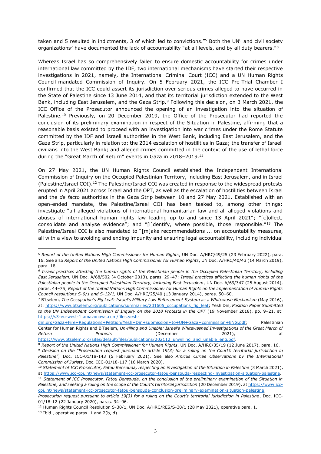taken and 5 resulted in indictments. 3 of which led to convictions."<sup>5</sup> Both the UN<sup>6</sup> and civil society organizations<sup>7</sup> have documented the lack of accountability "at all levels, and by all duty bearers." $8$ 

Whereas Israel has so comprehensively failed to ensure domestic accountability for crimes under international law committed by the IDF, two international mechanisms have started their respective investigations in 2021, namely, the International Criminal Court (ICC) and a UN Human Rights Council-mandated Commission of Inquiry. On 5 February 2021, the ICC Pre-Trial Chamber I confirmed that the ICC could assert its jurisdiction over serious crimes alleged to have occurred in the State of Palestine since 13 June 2014, and that its territorial jurisdiction extended to the West Bank, including East Jerusalem, and the Gaza Strip.<sup>9</sup> Following this decision, on 3 March 2021, the ICC Office of the Prosecutor announced the opening of an investigation into the situation of Palestine.<sup>10</sup> Previously, on 20 December 2019, the Office of the Prosecutor had reported the conclusion of its preliminary examination in respect of the Situation in Palestine, affirming that a reasonable basis existed to proceed with an investigation into war crimes under the Rome Statute committed by the IDF and Israeli authorities in the West Bank, including East Jerusalem, and the Gaza Strip, particularly in relation to: the 2014 escalation of hostilities in Gaza; the transfer of Israeli civilians into the West Bank; and alleged crimes committed in the context of the use of lethal force during the "Great March of Return" events in Gaza in 2018-2019.<sup>11</sup>

On 27 May 2021, the UN Human Rights Council established the Independent International Commission of Inquiry on the Occupied Palestinian Territory, including East Jerusalem, and in Israel (Palestine/Israel COI).12 The Palestine/Israel COI was created in response to the widespread protests erupted in April 2021 across Israel and the OPT, as well as the escalation of hostilities between Israel and the *de facto* authorities in the Gaza Strip between 10 and 27 May 2021. Established with an open-ended mandate, the Palestine/Israel COI has been tasked to, among other things: investigate "all alleged violations of international humanitarian law and all alleged violations and abuses of international human rights law leading up to and since 13 April 2021"; " $[collect,$ consolidate and analyse evidence"; and "[i]dentify, where possible, those responsible." $13$  The Palestine/Israel COI is also mandated to "[m]ake recommendations ... on accountability measures, all with a view to avoiding and ending impunity and ensuring legal accountability, including individual

<sup>5</sup> *Report of the United Nations High Commissioner for Human Rights*, UN Doc. A/HRC/49/25 (23 February 2022), para. 16. See also *Report of the United Nations High Commissioner for Human Rights*, UN Doc. A/HRC/40/43 (14 March 2019), para. 18.

<sup>6</sup> *Israeli practices affecting the human rights of the Palestinian people in the Occupied Palestinian Territory, including East Jerusalem*, UN Doc. A/68/502 (4 October 2013), paras. 29±47; *Israeli practices affecting the human rights of the Palestinian people in the Occupied Palestinian Territory, including East Jerusalem*, UN Doc. A/69/347 (25 August 2014), paras. 44±75; *Report of the United Nations High Commissioner for Human Rights on the implementation of Human Rights Council resolutions S-9/1 and S-12/1*, UN Doc. A/HRC/25/40 (13 January 2014), paras. 50±60.

<sup>&</sup>lt;sup>7</sup> B'tselem, The Occupation's Fig Leaf: *Israel's Military Law Enforcement System as a Whitewash Mechanism (May 2016),* at: [https://www.btselem.org/publications/summaries/201605\\_occupations\\_fig\\_leaf;](https://www.btselem.org/publications/summaries/201605_occupations_fig_leaf) Yesh Din, *Position Paper Submitted to the UN Independent Commission of Inquiry on the 2018 Protests in the OPT* (19 November 2018), pp. 9-21, at: [https://s3-eu-west-1.amazonaws.com/files.yesh-](https://s3-eu-west-1.amazonaws.com/files.yesh-din.org/Gaza+Fire+Regulations+Petition/Yesh+Din+submission+to+UN+Gaza+commission+ENG.pdf)

[din.org/Gaza+Fire+Regulations+Petition/Yesh+Din+submission+to+UN+Gaza+commission+ENG.pdf;](https://s3-eu-west-1.amazonaws.com/files.yesh-din.org/Gaza+Fire+Regulations+Petition/Yesh+Din+submission+to+UN+Gaza+commission+ENG.pdf) Palestinian Center for Human Rights and B'Tselem, Unwilling and Unable: Israel's Whitewashed Investigations of the Great March of *Return Protests* (December 2021), at [https://www.btselem.org/sites/default/files/publications/202112\\_unwilling\\_and\\_unable\\_eng.pdf.](https://www.btselem.org/sites/default/files/publications/202112_unwilling_and_unable_eng.pdf)

<sup>8</sup> *Report of the United Nations High Commissioner for Human Rights*, UN Doc. A/HRC/35/19 (12 June 2017), para. 16.

<sup>&</sup>lt;sup>9</sup> Decision on the "Prosecution request pursuant to article 19(3) for a ruling on the Court's territorial jurisdiction in *3DOHVWLQH´*, Doc. ICC-01/18-143 (5 February 2021). See also *Amicus Curiae Observations by the International Commission of Jurists*, Doc. ICC-01/18-117 (16 March 2020).

<sup>10</sup> *Statement of ICC Prosecutor, Fatou Bensouda, respecting an investigation of the Situation in Palestine* (3 March 2021), at [https://www.icc-cpi.int/news/statement-icc-prosecutor-fatou-bensouda-respecting-investigation-situation-palestine.](https://www.icc-cpi.int/news/statement-icc-prosecutor-fatou-bensouda-respecting-investigation-situation-palestine)

<sup>11</sup> *Statement of ICC Prosecutor, Fatou Bensouda, on the conclusion of the preliminary examination of the Situation in*  Palestine, and seeking a ruling on the scope of the Court's territorial jurisdiction (20 December 2019), a[t https://www.icc](https://www.icc-cpi.int/news/statement-icc-prosecutor-fatou-bensouda-conclusion-preliminary-examination-situation-palestine)[cpi.int/news/statement-icc-prosecutor-fatou-bensouda-conclusion-preliminary-examination-situation-palestine;](https://www.icc-cpi.int/news/statement-icc-prosecutor-fatou-bensouda-conclusion-preliminary-examination-situation-palestine)

Prosecution request pursuant to article 19(3) for a ruling on the Court's territorial jurisdiction in Palestine, Doc. ICC-01/18-12 (22 January 2020), paras. 94-96.

<sup>&</sup>lt;sup>12</sup> Human Rights Council Resolution S-30/1, UN Doc. A/HRC/RES/S-30/1 (28 May 2021), operative para. 1.

 $13$  Ibid., operative paras. 1 and 2(b, d).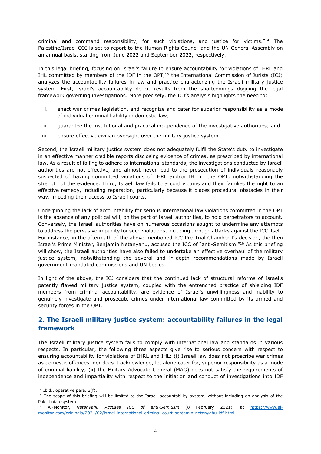criminal and command responsibility, for such violations, and iustice for victims."<sup>14</sup> The Palestine/Israel COI is set to report to the Human Rights Council and the UN General Assembly on an annual basis, starting from June 2022 and September 2022, respectively.

In this legal briefing, focusing on Israel's failure to ensure accountability for violations of IHRL and IHL committed by members of the IDF in the OPT,15 the International Commission of Jurists (ICJ) analyzes the accountability failures in law and practice characterizing the Israeli military justice system. First, Israel's accountability deficit results from the shortcomings dogging the legal framework governing investigations. More precisely, the ICJ's analysis highlights the need to:

- i. enact war crimes legislation, and recognize and cater for superior responsibility as a mode of individual criminal liability in domestic law;
- ii. guarantee the institutional and practical independence of the investigative authorities; and
- iii. ensure effective civilian oversight over the military justice system.

Second, the Israeli military justice system does not adequately fulfil the State's duty to investigate in an effective manner credible reports disclosing evidence of crimes, as prescribed by international law. As a result of failing to adhere to international standards, the investigations conducted by Israeli authorities are not effective, and almost never lead to the prosecution of individuals reasonably suspected of having committed violations of IHRL and/or IHL in the OPT, notwithstanding the strength of the evidence. Third, Israeli law fails to accord victims and their families the right to an effective remedy, including reparation, particularly because it places procedural obstacles in their way, impeding their access to Israeli courts.

Underpinning the lack of accountability for serious international law violations committed in the OPT is the absence of any political will, on the part of Israeli authorities, to hold perpetrators to account. Conversely, the Israeli authorities have on numerous occasions sought to undermine any attempts to address the pervasive impunity for such violations, including through attacks against the ICC itself. For instance, in the aftermath of the above-mentioned ICC Pre-Trial Chamber I's decision, the then Israel's Prime Minister, Benjamin Netanyahu, accused the ICC of "anti-Semitism."<sup>16</sup> As this briefing will show, the Israeli authorities have also failed to undertake an effective overhaul of the military justice system, notwithstanding the several and in-depth recommendations made by Israeli government-mandated commissions and UN bodies.

In light of the above, the ICJ considers that the continued lack of structural reforms of Israel's patently flawed military justice system, coupled with the entrenched practice of shielding IDF members from criminal accountability, are evidence of Israel's unwillingness and inability to genuinely investigate and prosecute crimes under international law committed by its armed and security forces in the OPT.

# **2. The Israeli military justice system: accountability failures in the legal framework**

The Israeli military justice system fails to comply with international law and standards in various respects. In particular, the following three aspects give rise to serious concern with respect to ensuring accountability for violations of IHRL and IHL: (i) Israeli law does not proscribe war crimes as domestic offences, nor does it acknowledge, let alone cater for, superior responsibility as a mode of criminal liability; (ii) the Military Advocate General (MAG) does not satisfy the requirements of independence and impartiality with respect to the initiation and conduct of investigations into IDF

<sup>14</sup> Ibid., operative para. 2(f).

 $15$  The scope of this briefing will be limited to the Israeli accountability system, without including an analysis of the Palestinian system.

<sup>16</sup> Al-Monitor, *Netanyahu Accuses ICC of anti-Semitism* (8 February 2021), at [https://www.al](https://www.al-monitor.com/originals/2021/02/israel-international-criminal-court-benjamin-netanyahu-idf.html)[monitor.com/originals/2021/02/israel-international-criminal-court-benjamin-netanyahu-idf.html.](https://www.al-monitor.com/originals/2021/02/israel-international-criminal-court-benjamin-netanyahu-idf.html)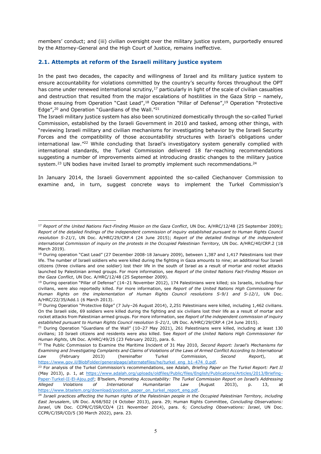members' conduct; and (iii) civilian oversight over the military justice system, purportedly ensured by the Attorney-General and the High Court of Justice, remains ineffective.

## **2.1. Attempts at reform of the Israeli military justice system**

In the past two decades, the capacity and willingness of Israel and its military justice system to ensure accountability for violations committed by the country's security forces throughout the OPT has come under renewed international scrutiny, $17$  particularly in light of the scale of civilian casualties and destruction that resulted from the major escalations of hostilities in the Gaza Strip  $-$  namely, those ensuing from Operation "Cast Lead",<sup>18</sup> Operation "Pillar of Defense",<sup>19</sup> Operation "Protective Edge", $^{20}$  and Operation "Guardians of the Wall." $^{21}$ 

The Israeli military justice system has also been scrutinized domestically through the so-called Turkel Commission, established by the Israeli Government in 2010 and tasked, among other things, with ³reviewing Israeli military and civilian mechanisms for investigating behavior by the Israeli Security Forces and the compatibility of those accountability structures with Israel's obligations under international law."<sup>22</sup> While concluding that Israel's investigatory system generally complied with international standards, the Turkel Commission delivered 18 far-reaching recommendations suggesting a number of improvements aimed at introducing drastic changes to the military justice system.<sup>23</sup> UN bodies have invited Israel to promptly implement such recommendations.<sup>24</sup>

In January 2014, the Israeli Government appointed the so-called Ciechanover Commission to examine and, in turn, suggest concrete ways to implement the Turkel Commission's

<sup>17</sup> *Report of the United Nations Fact-Finding Mission on the Gaza Conflict*, UN Doc. A/HRC/12/48 (25 September 2009); *Report of the detailed findings of the independent commission of inquiry established pursuant to Human Rights Council resolution S-21/1*, UN Doc. A/HRC/29/CRP.4 (24 June 2015); *Report of the detailed findings of the independent international Commission of inquiry on the protests in the Occupied Palestinian Territory,* UN Doc. A/HRC/40/CRP.2 (18 March 2019).

<sup>&</sup>lt;sup>18</sup> During operation "Cast Lead" (27 December 2008-18 January 2009), between 1,387 and 1,417 Palestinians lost their life. The number of Israeli soldiers who were killed during the fighting in Gaza amounts to nine; an additional four Israeli citizens (three civilians and one soldier) lost their life in the south of Israel as a result of mortar and rocket attacks launched by Palestinian armed groups. For more information, see *Report of the United Nations Fact-Finding Mission on the Gaza Conflict*, UN Doc. A/HRC/12/48 (25 September 2009).

<sup>&</sup>lt;sup>19</sup> During operation "Pillar of Defense" (14-21 November 2012), 174 Palestinians were killed; six Israelis, including four civilians, were also reportedly killed. For more information, see *Report of the United Nations High Commissioner for Human Rights on the implementation of Human Rights Council resolutions S-9/1 and S-12/1*, UN Doc. A/HRC/22/35/Add.1 (6 March 2013).

<sup>&</sup>lt;sup>20</sup> During Operation "Protective Edge" (7 July-26 August 2014), 2,251 Palestinians were killed, including 1,462 civilians. On the Israeli side, 69 soldiers were killed during the fighting and six civilians lost their life as a result of mortar and rocket attacks from Palestinian armed groups. For more information, see *Report of the independent commission of inquiry established pursuant to Human Rights Council resolution S-21/1*, UN Doc. A/HRC/29/CRP.4 (24 June 2015).

<sup>&</sup>lt;sup>21</sup> During Operation "Guardians of the Wall" (10-27 May 2021), 261 Palestinians were killed, including at least 130 civilians; 10 Israeli citizens and residents were also killed. See *Report of the United Nations High Commissioner for Human Rights*, UN Doc. A/HRC/49/25 (23 February 2022), para. 6.

<sup>&</sup>lt;sup>22</sup> The Public Commission to Examine the Maritime Incident of 31 May 2010, Second Report: Israel's Mechanisms for *Examining and Investigating Complaints and Claims of Violations of the Laws of Armed Conflict According to International Law* (February 2013) (hereinafter Turkel Commission, *Second Report*), at [https://www.gov.il/BlobFolder/generalpage/alternatefiles/he/turkel\\_eng\\_b1-474\\_0.pdf.](https://www.gov.il/BlobFolder/generalpage/alternatefiles/he/turkel_eng_b1-474_0.pdf)

<sup>&</sup>lt;sup>23</sup> For analysis of the Turkel Commission's recommendations, see Adalah, Briefing Paper on The Turkel Report: Part II (May 2013), p. 1, at [https://www.adalah.org/uploads/oldfiles/Public/files/English/Publications/Articles/2013/Briefing-](https://www.adalah.org/uploads/oldfiles/Public/files/English/Publications/Articles/2013/Briefing-Paper-Turkel-II-El-Ajou.pdf)[Paper-Turkel-II-El-Ajou.pdf](https://www.adalah.org/uploads/oldfiles/Public/files/English/Publications/Articles/2013/Briefing-Paper-Turkel-II-El-Ajou.pdf); B'tselem, Promoting Accountability: The Turkel Commission Report on Israel's Addressing *Alleged Violations of International Humanitarian Law* (August 2013), p. 13, at [https://www.btselem.org/download/position\\_paper\\_on\\_turkel\\_report\\_eng.pdf.](https://www.btselem.org/download/position_paper_on_turkel_report_eng.pdf)

<sup>&</sup>lt;sup>24</sup> Israeli practices affecting the human rights of the Palestinian people in the Occupied Palestinian Territory, including *East Jerusalem*, UN Doc. A/68/502 (4 October 2013), para. 29; Human Rights Committee, *Concluding Observations: Israel*, UN Doc. CCPR/C/ISR/CO/4 (21 November 2014), para. 6; *Concluding Observations: Israel*, UN Doc. CCPR/C/ISR/CO/5 (30 March 2022), para. 23.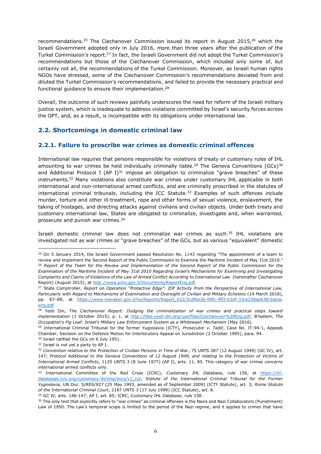recommendations.<sup>25</sup> The Ciechanover Commission issued its report in August 2015,<sup>26</sup> which the Israeli Government adopted only in July 2016, more than three years after the publication of the Turkel Commission's report.<sup>27</sup> In fact, the Israeli Government did not adopt the Turkel Commission's recommendations but those of the Ciechanover Commission, which included only some of, but certainly not all, the recommendations of the Turkel Commission. Moreover, as Israeli human rights NGOs have stressed, some of the Ciechanover Commission's recommendations deviated from and diluted the Turkel Commission's recommendations, and failed to provide the necessary practical and functional quidance to ensure their implementation.<sup>28</sup>

Overall, the outcome of such reviews painfully underscores the need for reform of the Israeli military justice system, which is inadequate to address violations committed by Israel's security forces across the OPT, and, as a result, is incompatible with its obligations under international law.

# **2.2. Shortcomings in domestic criminal law**

#### **2.2.1. Failure to proscribe war crimes as domestic criminal offences**

International law requires that persons responsible for violations of treaty or customary rules of IHL amounting to war crimes be held individually criminally liable.<sup>29</sup> The Geneva Conventions (GCs)<sup>30</sup> and Additional Protocol I (AP I) $31$  impose an obligation to criminalize "grave breaches" of these instruments.32 Many violations also constitute war crimes under customary IHL applicable in both international and non-international armed conflicts, and are criminally proscribed in the statutes of international criminal tribunals, including the ICC Statute.<sup>33</sup> Examples of such offences include murder, torture and other ill-treatment, rape and other forms of sexual violence, enslavement, the taking of hostages, and directing attacks against civilians and civilian objects. Under both treaty and customary international law, States are obligated to criminalize, investigate and, when warranted, prosecute and punish war crimes.<sup>34</sup>

Israeli domestic criminal law does not criminalize war crimes as such.35 IHL violations are investigated not as war crimes or "grave breaches" of the GCs, but as various "equivalent" domestic

 $25$  On 5 January 2014, the Israeli Government passed Resolution No. 1143 regarding "The appointment of a team to review and implement the Second Report of the Public Commission to Examine the Maritime Incident of May 31st 2010." <sup>26</sup> *Report of the Team for the Review and Implementation of the Second Report of the Public Commission for the Examination of the Maritime Incident of May 31st 2010 Regarding Israel's Mechanisms for Examining and Investigating Complaints and Claims of Violations of the Law of Armed Conflict According to International Law* (hereinafter Ciechanover Report) (August 2015), at [http://www.pmo.gov.il/Documents/ReportEng.pdf.](http://www.pmo.gov.il/Documents/ReportEng.pdf)

<sup>&</sup>lt;sup>27</sup> State Comptroller, *Report on Operation "Protective Edge": IDF Activity from the Perspective of International Law, Particularly with Regard to Mechanisms of Examination and Oversight of Civilian and Military Echelons* (14 March 2018), pp. 87-88, at https://www.mevaker.gov.il/he/Reports/Report 622/3cdfbe36-04fc-4ff2-b2df-33ce258ae838/dabla[eng.pdf.](https://www.mevaker.gov.il/he/Reports/Report_622/3cdfbe36-04fc-4ff2-b2df-33ce258ae838/dabla-eng.pdf)

<sup>&</sup>lt;sup>28</sup> Yesh Din, *The Ciechanover Report: Dodging the criminalization of war crimes and practical steps toward implementation* (1 October 2015), p. 1, at<http://files.yesh-din.org/userfiles/Ciechanover%20Eng.pdf>; B'tselem, The Occupation's Fig Leaf: Israel's Military Law Enforcement System as a Whitewash Mechanism (May 2016).

<sup>&</sup>lt;sup>29</sup> International Criminal Tribunal for the former Yugoslavia (ICTY), *Prosecutor v. Tadić*, Case No. IT-94-1, Appeals Chamber, Decision on the Defence Motion for Interlocutory Appeal on Jurisdiction (2 October 1995), para. 94.

<sup>&</sup>lt;sup>30</sup> Israel ratified the GCs on 6 July 1951.

<sup>&</sup>lt;sup>31</sup> Israel is not yet a party to AP I.

<sup>32</sup> *Convention relative to the Protection of Civilian Persons in Time of War*, 75 UNTS 287 (12 August 1949) (GC IV), art. 147; *Protocol Additional to the Geneva Conventions of 12 August 1949, and relating to the Protection of Victims of International Armed Conflicts*, 1125 UNTS 3 (8 June 1977) (AP I), arts. 11, 85. This category of war crimes concerns international armed conflicts only.

<sup>33</sup> International Committee of the Red Cross (ICRC), *Customary IHL Database*, rule 156, at [https://ihl](https://ihl-databases.icrc.org/customary-ihl/eng/docs/v1_rul)[databases.icrc.org/customary-ihl/eng/docs/v1\\_rul;](https://ihl-databases.icrc.org/customary-ihl/eng/docs/v1_rul) *Statute of the International Criminal Tribunal for the Former Yugoslavia*, UN Doc. S/RES/827 (25 May 1993, amended as of September 2009) (ICTY Statute), art. 3; *Rome Statute of the International Criminal Court*, 2187 UNTS 3 (17 July 1998) (ICC Statute), art. 8.

<sup>34</sup> GC IV, arts. 146-147; AP I, art. 85; ICRC, *Customary IHL Database*, rule 158.

<sup>35</sup> The only text that explicitly refers to "war crimes" as criminal offenses is the Nazis and Nazi Collaborators (Punishment) Law of 1950. The Law's temporal scope is limited to the period of the Nazi regime, and it applies to crimes that have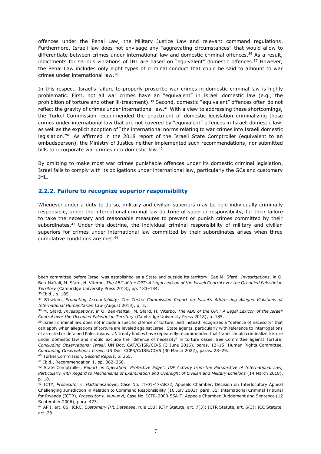offences under the Penal Law, the Military Justice Law and relevant command regulations. Furthermore, Israeli law does not envisage any "aggravating circumstances" that would allow to differentiate between crimes under international law and domestic criminal offences.<sup>36</sup> As a result, indictments for serious violations of IHL are based on "equivalent" domestic offences. $37$  However, the Penal Law includes only eight types of criminal conduct that could be said to amount to war crimes under international law.38

In this respect, Israel's failure to properly proscribe war crimes in domestic criminal law is highly problematic. First, not all war crimes have an "equivalent" in Israeli domestic law (e.g., the prohibition of torture and other ill-treatment).<sup>39</sup> Second, domestic "equivalent" offences often do not reflect the gravity of crimes under international law.<sup>40</sup> With a view to addressing these shortcomings, the Turkel Commission recommended the enactment of domestic legislation criminalizing those crimes under international law that are not covered by "equivalent" offences in Israeli domestic law, as well as the explicit adoption of "the international norms relating to war crimes into Israeli domestic legislation.<sup>"41</sup> As affirmed in the 2018 report of the Israeli State Comptroller (equivalent to an ombudsperson), the Ministry of Justice neither implemented such recommendations, nor submitted bills to incorporate war crimes into domestic law.<sup>42</sup>

By omitting to make most war crimes punishable offences under its domestic criminal legislation, Israel fails to comply with its obligations under international law, particularly the GCs and customary IHL.

#### **2.2.2. Failure to recognize superior responsibility**

Whenever under a duty to do so, military and civilian superiors may be held individually criminally responsible, under the international criminal law doctrine of superior responsibility, for their failure to take the necessary and reasonable measures to prevent or punish crimes committed by their subordinates.<sup>43</sup> Under this doctrine, the individual criminal responsibility of military and civilian superiors for crimes under international law committed by their subordinates arises when three cumulative conditions are met: 44

been committed before Israel was established as a State and outside its territory. See M. Sfard, *Investigations*, in O. Ben-Naftali, M. Sfard, H. Viterbo, *The ABC of the OPT: A Legal Lexicon of the Israeli Control over the Occupied Palestinian Territory* (Cambridge University Press 2018), pp. 183-184.

<sup>36</sup> Ibid., p. 185.

<sup>&</sup>lt;sup>37</sup> B'tselem, Promoting Accountability: The Turkel Commission Report on Israel's Addressing Alleged Violations of *International Humanitarian Law* (August 2013), p. 5.

<sup>38</sup> M. Sfard, *Investigations*, in O. Ben-Naftali, M. Sfard, H. Viterbo, *The ABC of the OPT: A Legal Lexicon of the Israeli Control over the Occupied Palestinian Territory* (Cambridge University Press 2018), p. 185.

<sup>&</sup>lt;sup>39</sup> Israeli criminal law does not include a specific offence of torture, and instead recognizes a "defence of necessity" that can apply when allegations of torture are leveled against Israeli State agents, particularly with reference to interrogations of arrested or detained Palestinians. UN treaty bodies have repeatedly recommended that Israel should criminalize torture under domestic law and should exclude the "defence of necessity" in torture cases. See Committee against Torture, *Concluding Observations: Israel*, UN Doc. CAT/C/ISR/CO/5 (3 June 2016), paras. 12±15; Human Rights Committee, *Concluding Observations: Israel*, UN Doc. CCPR/C/ISR/CO/5 (30 March 2022), paras. 28±29.

<sup>40</sup> Turkel Commission, *Second Report*, p. 365.

 $41$  Ibid., Recommendation 1, pp. 362-366.

<sup>&</sup>lt;sup>42</sup> State Comptroller, *Report on Operation "Protective Edge": IDF Activity from the Perspective of International Law, Particularly with Regard to Mechanisms of Examination and Oversight of Civilian and Military Echelons* (14 March 2018), p. 10.

<sup>43</sup> ICTY, *Prosecutor v. Hadzihasanovic*, Case No. IT-01-47-AR72, Appeals Chamber, Decision on Interlocutory Appeal Challenging Jurisdiction in Relation to Command Responsibility (16 July 2003), para. 31; International Criminal Tribunal for Rwanda (ICTR), *Prosecutor v. Muvunyi*, Case No. ICTR-2000-55A-T, Appeals Chamber, Judgement and Sentence (12 September 2006), para. 473.

<sup>44</sup> AP I, art. 86; ICRC, *Customary IHL Database*, rule 153; ICTY Statute, art. 7(3); ICTR Statute, art. 6(3); ICC Statute, art. 28.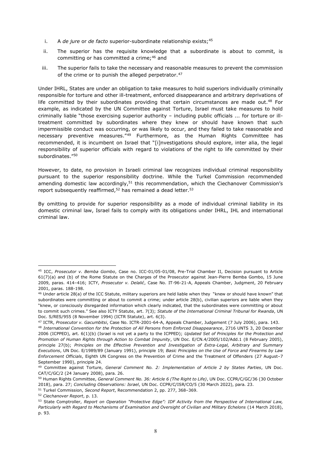- i. A *de jure* or *de facto* superior-subordinate relationship exists:<sup>45</sup>
- ii. The superior has the requisite knowledge that a subordinate is about to commit, is committing or has committed a crime;<sup>46</sup> and
- iii. The superior fails to take the necessary and reasonable measures to prevent the commission of the crime or to punish the alleged perpetrator.<sup>47</sup>

Under IHRL, States are under an obligation to take measures to hold superiors individually criminally responsible for torture and other ill-treatment, enforced disappearance and arbitrary deprivations of life committed by their subordinates providing that certain circumstances are made out.<sup>48</sup> For example, as indicated by the UN Committee against Torture, Israel must take measures to hold criminally liable "those exercising superior authority - including public officials ... for torture or illtreatment committed by subordinates where they knew or should have known that such impermissible conduct was occurring, or was likely to occur, and they failed to take reasonable and necessary preventive measures.<sup>"49</sup> Furthermore, as the Human Rights Committee has recommended, it is incumbent on Israel that "[i]nvestigations should explore, inter alia, the legal responsibility of superior officials with regard to violations of the right to life committed by their subordinates."50

However, to date, no provision in Israeli criminal law recognizes individual criminal responsibility pursuant to the superior responsibility doctrine. While the Turkel Commission recommended amending domestic law accordingly,<sup>51</sup> this recommendation, which the Ciechanover Commission's report subsequently reaffirmed, $52$  has remained a dead letter. $53$ 

By omitting to provide for superior responsibility as a mode of individual criminal liability in its domestic criminal law, Israel fails to comply with its obligations under IHRL, IHL and international criminal law.

<sup>45</sup> ICC, *Prosecutor v. Bemba Gombo*, Case no. ICC-01/05-01/08, Pre-Trial Chamber II, Decision pursuant to Article 61(7)(a) and (b) of the Rome Statute on the Charges of the Prosecutor against Jean-Pierre Bemba Gombo, 15 June 2009, paras. 414-416; ICTY, Prosecutor v. Delalić, Case No. IT-96-21-A, Appeals Chamber, Judgment, 20 February 2001, paras. 188-198.

<sup>&</sup>lt;sup>46</sup> Under article 28(a) of the ICC Statute, military superiors are held liable when they "knew or should have known" that subordinates were committing or about to commit a crime; under article 28(b), civilian superiors are liable when they "knew, or consciously disregarded information which clearly indicated, that the subordinates were committing or about to commit such crimes." See also ICTY Statute, art. 7(3); *Statute of the International Criminal Tribunal for Rwanda*, UN Doc. S/RES/955 (8 November 1994) (ICTR Statute), art. 6(3).

<sup>47</sup> ICTR, *Prosecutor v. Gacumbitsi*, Case No. ICTR-2001-64-A, Appeals Chamber, Judgement (7 July 2006), para. 143.

<sup>48</sup> *International Convention for the Protection of All Persons from Enforced Disappearance*, 2716 UNTS 3, 20 December 2006 (ICPPED), art. 6(1)(b) (Israel is not yet a party to the ICPPED); *Updated Set of Principles for the Protection and Promotion of Human Rights through Action to Combat Impunity*, UN Doc. E/CN.4/2005/102/Add.1 (8 February 2005), principle 27(b); *Principles on the Effective Prevention and Investigation of Extra-Legal, Arbitrary and Summary Executions*, UN Doc. E/1989/89 (January 1991), principle 19; *Basic Principles on the Use of Force and Firearms by Law Enforcement Officials*, Eighth UN Congress on the Prevention of Crime and the Treatment of Offenders (27 August-7 September 1990), principle 24.

<sup>49</sup> Committee against Torture, *General Comment No. 2: Implementation of Article 2 by States Parties*, UN Doc. CAT/C/GC/2 (24 January 2008), para. 26.

<sup>50</sup> Human Rights Committee, *General Comment No. 36: Article 6 (The Right to Life)*, UN Doc. CCPR/C/GC/36 (30 October 2018), para. 27; *Concluding Observations: Israel*, UN Doc. CCPR/C/ISR/CO/5 (30 March 2022), para. 23.

<sup>51</sup> Turkel Commission, *Second Report*, Recommendation 2, pp. 277, 368-369.

<sup>52</sup> *Ciechanover Report*, p. 13.

<sup>53</sup> State Comptroller, *Report on Operation "Protective Edge": IDF Activity from the Perspective of International Law, Particularly with Regard to Mechanisms of Examination and Oversight of Civilian and Military Echelons* (14 March 2018), p. 93.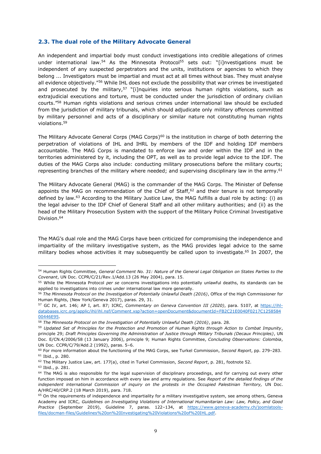#### **2.3. The dual role of the Military Advocate General**

An independent and impartial body must conduct investigations into credible allegations of crimes under international law.<sup>54</sup> As the Minnesota Protocol<sup>55</sup> sets out: "[i]nvestigations must be independent of any suspected perpetrators and the units, institutions or agencies to which they belong ... Investigators must be impartial and must act at all times without bias. They must analyse all evidence objectively."<sup>56</sup> While IHL does not exclude the possibility that war crimes be investigated and prosecuted by the military,<sup>57</sup> "[i]nquiries into serious human rights violations, such as extrajudicial executions and torture, must be conducted under the jurisdiction of ordinary civilian courts."<sup>58</sup> Human rights violations and serious crimes under international law should be excluded from the jurisdiction of military tribunals, which should adjudicate only military offences committed by military personnel and acts of a disciplinary or similar nature not constituting human rights violations.59

The Military Advocate General Corps (MAG Corps)<sup>60</sup> is the institution in charge of both deterring the perpetration of violations of IHL and IHRL by members of the IDF and holding IDF members accountable. The MAG Corps is mandated to enforce law and order within the IDF and in the territories administered by it, including the OPT, as well as to provide legal advice to the IDF. The duties of the MAG Corps also include: conducting military prosecutions before the military courts; representing branches of the military where needed; and supervising disciplinary law in the army.<sup>61</sup>

The Military Advocate General (MAG) is the commander of the MAG Corps. The Minister of Defense appoints the MAG on recommendation of the Chief of Staff,<sup>62</sup> and their tenure is not temporally defined by law.63 According to the Military Justice Law, the MAG fulfills a dual role by acting: (i) as the legal adviser to the IDF Chief of General Staff and all other military authorities; and (ii) as the head of the Military Prosecution System with the support of the Military Police Criminal Investigative Division. 64

The MAG's dual role and the MAG Corps have been criticized for compromising the independence and impartiality of the military investigative system, as the MAG provides legal advice to the same military bodies whose activities it may subsequently be called upon to investigate.<sup>65</sup> In 2007, the

<sup>54</sup> Human Rights Committee, *General Comment No. 31: Nature of the General Legal Obligation on States Parties to the Covenant*, UN Doc. CCPR/C/21/Rev.1/Add.13 (26 May 2004), para. 15.

<sup>55</sup> While the Minnesota Protocol *per se* concerns investigations into potentially unlawful deaths, its standards can be applied to investigations into crimes under international law more generally.

<sup>56</sup> *The Minnesota Protocol on the Investigation of Potentially Unlawful Death (2016)*, Office of the High Commissioner for Human Rights, (New York/Geneva 2017), paras. 29, 31.

<sup>57</sup> GC IV, art. 146; AP I, art. 87; ICRC, *Commentary on Geneva Convention III (2020)*, para. 5107, at [https://ihl](https://ihl-databases.icrc.org/applic/ihl/ihl.nsf/Comment.xsp?action=openDocument&documentId=FB2C21E0040F0217C125858400446E95)[databases.icrc.org/applic/ihl/ihl.nsf/Comment.xsp?action=openDocument&documentId=FB2C21E0040F0217C1258584](https://ihl-databases.icrc.org/applic/ihl/ihl.nsf/Comment.xsp?action=openDocument&documentId=FB2C21E0040F0217C125858400446E95) [00446E95.](https://ihl-databases.icrc.org/applic/ihl/ihl.nsf/Comment.xsp?action=openDocument&documentId=FB2C21E0040F0217C125858400446E95)

<sup>58</sup> *The Minnesota Protocol on the Investigation of Potentially Unlawful Death (2016)*, para. 28.

<sup>59</sup> *Updated Set of Principles for the Protection and Promotion of Human Rights through Action to Combat Impunity*, principle 29; *Draft Principles Governing the Administration of Justice through Military Tribunals (Decaux Principles)*, UN Doc. E/CN.4/2006/58 (13 January 2006), principle 9; Human Rights Committee, *Concluding Observations: Colombia*, UN Doc. CCPR/C/79/Add.2 (1992), paras. 5-6.

<sup>60</sup> For more information about the functioning of the MAG Corps, see Turkel Commission, *Second Report*, pp. 279-283. <sup>61</sup> Ibid., p. 280.

<sup>62</sup> The Military Justice Law, art. 177(a), cited in Turkel Commission, *Second Report*, p. 281, footnote 52.

<sup>63</sup> Ibid., p. 281.

<sup>&</sup>lt;sup>64</sup> The MAG is also responsible for the legal supervision of disciplinary proceedings, and for carrying out every other function imposed on him in accordance with every law and army regulations. See *Report of the detailed findings of the independent international Commission of inquiry on the protests in the Occupied Palestinian Territory,* UN Doc. A/HRC/40/CRP.2 (18 March 2019), para. 718.

 $65$  On the requirements of independence and impartiality for a military investigative system, see among others, Geneva Academy and ICRC, *Guidelines on Investigating Violations of International Humanitarian Law: Law, Policy, and Good*  Practice (September 2019), Guideline 7, paras. 122-134, at [https://www.geneva-academy.ch/joomlatools](https://www.geneva-academy.ch/joomlatools-files/docman-files/Guidelines%20on%20Investigating%20Violations%20of%20IHL.pdf)[files/docman-files/Guidelines%20on%20Investigating%20Violations%20of%20IHL.pdf.](https://www.geneva-academy.ch/joomlatools-files/docman-files/Guidelines%20on%20Investigating%20Violations%20of%20IHL.pdf)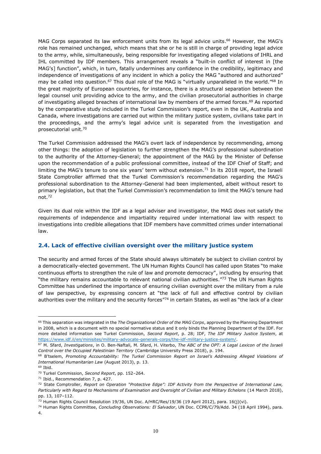MAG Corps separated its law enforcement units from its legal advice units.<sup>66</sup> However, the MAG's role has remained unchanged, which means that she or he is still in charge of providing legal advice to the army, while, simultaneously, being responsible for investigating alleged violations of IHRL and IHL committed by IDF members. This arrangement reveals a "built-in conflict of interest in [the MAG's] function", which, in turn, fatally undermines any confidence in the credibility, legitimacy and independence of investigations of any incident in which a policy the MAG "authored and authorized" may be called into question.<sup>67</sup> This dual role of the MAG is "virtually unparalleled in the world.<sup>"68</sup> In the great majority of European countries, for instance, there is a structural separation between the legal counsel unit providing advice to the army, and the civilian prosecutorial authorities in charge of investigating alleged breaches of international law by members of the armed forces.<sup>69</sup> As reported by the comparative study included in the Turkel Commission's report, even in the UK, Australia and Canada, where investigations are carried out within the military justice system, civilians take part in the proceedings, and the army's legal advice unit is separated from the investigation and prosecutorial unit.70

The Turkel Commission addressed the MAG's overt lack of independence by recommending, among other things: the adoption of legislation to further strengthen the MAG's professional subordination to the authority of the Attorney-General; the appointment of the MAG by the Minister of Defense upon the recommendation of a public professional committee, instead of the IDF Chief of Staff; and limiting the MAG's tenure to one six years' term without extension.<sup>71</sup> In its 2018 report, the Israeli State Comptroller affirmed that the Turkel Commission's recommendation regarding the MAG's professional subordination to the Attorney-General had been implemented, albeit without resort to primary legislation, but that the Turkel Commission's recommendation to limit the MAG's tenure had not.72

Given its dual role within the IDF as a legal adviser and investigator, the MAG does not satisfy the requirements of independence and impartiality required under international law with respect to investigations into credible allegations that IDF members have committed crimes under international law.

### **2.4. Lack of effective civilian oversight over the military justice system**

The security and armed forces of the State should always ultimately be subject to civilian control by a democratically-elected government. The UN Human Rights Council has called upon States "to make continuous efforts to strengthen the rule of law and promote democracy", including by ensuring that "the military remains accountable to relevant national civilian authorities." $73$  The UN Human Rights Committee has underlined the importance of ensuring civilian oversight over the military from a rule of law perspective, by expressing concern at "the lack of full and effective control by civilian authorities over the military and the security forces<sup>"74</sup> in certain States, as well as "the lack of a clear

<sup>66</sup> This separation was integrated in the *The Organizational Order of the MAG Corps*, approved by the Planning Department in 2008, which is a document with no special normative status and it only binds the Planning Department of the IDF. For more detailed information see Turkel Commission, *Second Report*, p. 28; IDF, *The IDF Military Justice System*, at [https://www.idf.il/en/minisites/military-advocate-generals-corps/the-idf-military-justice-system/.](https://www.idf.il/en/minisites/military-advocate-generals-corps/the-idf-military-justice-system/)

<sup>67</sup> M. Sfard, *Investigations*, in O. Ben-Naftali, M. Sfard, H. Viterbo, *The ABC of the OPT: A Legal Lexicon of the Israeli Control over the Occupied Palestinian Territory* (Cambridge University Press 2018), p. 194.

<sup>68</sup> B'tselem, Promoting Accountability: The Turkel Commission Report on Israel's Addressing Alleged Violations of *International Humanitarian Law* (August 2013), p. 13.

<sup>69</sup> Ibid.

<sup>&</sup>lt;sup>70</sup> Turkel Commission, *Second Report*, pp. 152-264.

<sup>71</sup> Ibid., Recommendation 7, p. 427.

<sup>&</sup>lt;sup>72</sup> State Comptroller, *Report on Operation "Protective Edge": IDF Activity from the Perspective of International Law, Particularly with Regard to Mechanisms of Examination and Oversight of Civilian and Military Echelons* (14 March 2018), pp. 13, 107-112.

<sup>73</sup> Human Rights Council Resolution 19/36, UN Doc. A/HRC/Res/19/36 (19 April 2012), para. 16(j)(vi).

<sup>74</sup> Human Rights Committee, *Concluding Observations: El Salvador*, UN Doc. CCPR/C/79/Add. 34 (18 April 1994), para. 4.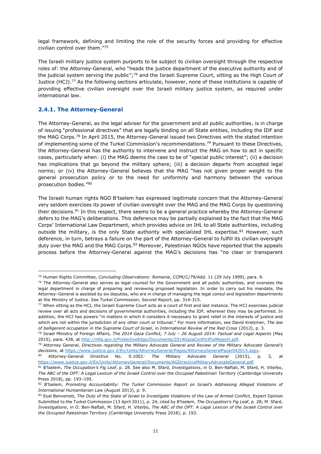legal framework, defining and limiting the role of the security forces and providing for effective  $Civilian control over them.''<sup>75</sup>$ 

The Israeli military justice system purports to be subject to civilian oversight through the respective roles of: the Attorney-General, who "heads the justice department of the executive authority and of the judicial system serving the public";<sup>76</sup> and the Israeli Supreme Court, sitting as the High Court of Justice (HCJ).<sup>77</sup> As the following sections articulate, however, none of these institutions is capable of providing effective civilian oversight over the Israeli military justice system, as required under international law.

#### **2.4.1. The Attorney-General**

The Attorney-General, as the legal adviser for the government and all public authorities, is in charge of issuing "professional directives" that are legally binding on all State entities, including the IDF and the MAG Corps.<sup>78</sup> In April 2015, the Attorney-General issued two Directives with the stated intention of implementing some of the Turkel Commission's recommendations.<sup>79</sup> Pursuant to these Directives, the Attorney-General has the authority to intervene and instruct the MAG on how to act in specific cases, particularly when: (i) the MAG deems the case to be of "special public interest"; (ii) a decision has implications that go beyond the military sphere; (iii) a decision departs from accepted legal norms; or (iv) the Attorney-General believes that the MAG "has not given proper weight to the general prosecution policy or to the need for uniformity and harmony between the various prosecution bodies."80

The Israeli human rights NGO B'tselem has expressed legitimate concern that the Attorney-General very seldom exercises its power of civilian oversight over the MAG and the MAG Corps by questioning their decisions.81 In this respect, there seems to be a general practice whereby the Attorney-General defers to the MAG's deliberations. This deference may be partially explained by the fact that the MAG Corps' International Law Department, which provides advice on IHL to all State authorities, including outside the military, is the only State authority with specialized IHL expertise. $82$  However, such deference, in turn, betrays a failure on the part of the Attorney-General to fulfill its civilian oversight duty over the MAG and the MAG Corps.<sup>83</sup> Moreover, Palestinian NGOs have reported that the appeals process before the Attorney-General against the MAG's decisions has "no clear or transparent

<sup>75</sup> Human Rights Committee, *Concluding Observations: Romania*, CCPR/C/79/Add. 11 (29 July 1999), para. 9.

 $76$  The Attorney-General also serves as legal counsel for the Government and all public authorities, and oversees the legal department in charge of preparing and reviewing proposed legislation. In order to carry out his mandate, the Attorney-General is assisted by six deputies, who are in charge of managing the legal consul and legislation departments at the Ministry of Justice. See Turkel Commission, *Second Report*, pp. 314-315.

<sup>77</sup> When sitting as the HCJ, the Israeli Supreme Court acts as a court of first and last instance. The HCJ exercises judicial review over all acts and decisions of governmental authorities, including the IDF, wherever they may be performed. In addition. the HCJ has powers "in matters in which it considers it necessary to grant relief in the interests of justice and which are not within the jurisdiction of any other court or tribunal." For more information, see David Kretzmer, *The law of belligerent occupation in the Supreme Court of Israel*, in *International Review of the Red Cross* (2012), p. 3.

<sup>78</sup> Israel Ministry of Foreign Affairs, *The 2014 Gaza Conflict, 7 July ± 26 August 2014: Factual and Legal Aspects* (May 2015), para. 438, a[t http://mfa.gov.il/ProtectiveEdge/Documents/2014GazaConflictFullReport.pdf.](http://mfa.gov.il/ProtectiveEdge/Documents/2014GazaConflictFullReport.pdf)

<sup>&</sup>lt;sup>79</sup> Attorney General, *Directives regarding the Military Advocate General and Review of the Military Advocate General's decisions*, at [https://www.justice.gov.il/En/Units/AttorneyGeneral/Pages/AttorneyGeneralPazar042015.aspx.](https://www.justice.gov.il/En/Units/AttorneyGeneral/Pages/AttorneyGeneralPazar042015.aspx)

<sup>80</sup> Attorney-General Directive No. 9.1002*: The Military Advocate General* (2015), p. 3, at [https://www.justice.gov.il/En/Units/AttorneyGeneral/Documents/AGDirectiveMilitaryAdvocateGeneral.pdf.](https://www.justice.gov.il/En/Units/AttorneyGeneral/Documents/AGDirectiveMilitaryAdvocateGeneral.pdf)

<sup>81</sup> B'tselem, The Occupation's Fig Leaf, p. 28. See also M. Sfard, *Investigations*, in O. Ben-Naftali, M. Sfard, H. Viterbo, *The ABC of the OPT: A Legal Lexicon of the Israeli Control over the Occupied Palestinian Territory* (Cambridge University Press 2018), pp. 193-195.

<sup>82</sup> B'tselem, Promoting Accountability: The Turkel Commission Report on Israel's Addressing Alleged Violations of *International Humanitarian Law* (August 2013), p. 9.

<sup>83</sup> Eyal Benvenisti, *The Duty of the State of Israel to Investigate Violations of the Law of Armed Conflict*, Expert Opinion Submitted to the Turkel Commission (13 April 2011), p. 24, cited by B'tselem, The Occupation's Fig Leaf, p. 28; M. Sfard, *Investigations*, in O. Ben-Naftali, M. Sfard, H. Viterbo, *The ABC of the OPT: A Legal Lexicon of the Israeli Control over the Occupied Palestinian Territory* (Cambridge University Press 2018), p. 193.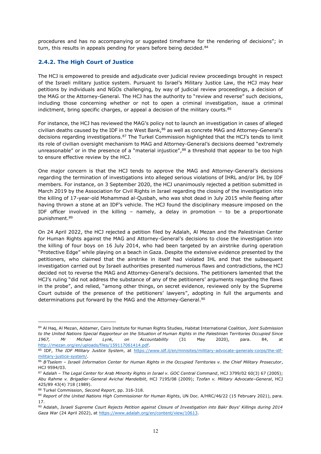procedures and has no accompanying or suggested timeframe for the rendering of decisions"; in turn, this results in appeals pending for years before being decided.<sup>84</sup>

## **2.4.2. The High Court of Justice**

The HCJ is empowered to preside and adjudicate over judicial review proceedings brought in respect of the Israeli military justice system. Pursuant to Israel's Military Justice Law, the HCJ may hear petitions by individuals and NGOs challenging, by way of judicial review proceedings, a decision of the MAG or the Attorney-General. The HCJ has the authority to "review and reverse" such decisions, including those concerning whether or not to open a criminal investigation, issue a criminal indictment, bring specific charges, or appeal a decision of the military courts. $85$ 

For instance, the HCJ has reviewed the MAG's policy not to launch an investigation in cases of alleged civilian deaths caused by the IDF in the West Bank,<sup>86</sup> as well as concrete MAG and Attorney-General's decisions regarding investigations.<sup>87</sup> The Turkel Commission highlighted that the HCJ's tends to limit its role of civilian oversight mechanism to MAG and Attorney-General's decisions deemed "extremely unreasonable" or in the presence of a "material injustice", $88$  a threshold that appear to be too high to ensure effective review by the HCJ.

One major concern is that the HCJ tends to approve the MAG and Attorney-General's decisions regarding the termination of investigations into alleged serious violations of IHRL and/or IHL by IDF members. For instance, on 3 September 2020, the HCJ unanimously rejected a petition submitted in March 2019 by the Association for Civil Rights in Israel regarding the closing of the investigation into the killing of 17-year-old Mohammad al-Qusbah, who was shot dead in July 2015 while fleeing after having thrown a stone at an IDF's vehicle. The HCJ found the disciplinary measure imposed on the IDF officer involved in the killing  $-$  namely, a delay in promotion  $-$  to be a proportionate punishment.89

On 24 April 2022, the HCJ rejected a petition filed by Adalah, Al Mezan and the Palestinian Center for Human Rights against the MAG and Attorney-General's decisions to close the investigation into the killing of four boys on 16 July 2014, who had been targeted by an airstrike during operation "Protective Edge" while playing on a beach in Gaza. Despite the extensive evidence presented by the petitioners, who claimed that the airstrike in itself had violated IHL and that the subsequent investigation carried out by Israeli authorities presented numerous flaws and contradictions, the HCJ decided not to reverse the MAG and Attorney-General's decisions. The petitioners lamented that the HCJ's ruling "did not address the substance of any of the petitioners' arguments regarding the flaws in the probe", and relied, "among other things, on secret evidence, reviewed only by the Supreme Court outside of the presence of the petitioners' lawyers", adopting in full the arguments and determinations put forward by the MAG and the Attorney-General.<sup>90</sup>

<sup>84</sup> Al Haq, Al Mezan, Addamer, Cairo Institute for Human Rights Studies, Habitat International Coalition, *Joint Submission to the United Nations Special Rapporteur on the Situation of Human Rights in the Palestinian Territories Occupied Since 1967, Mr Michael Lynk, on Accountability* (31 May 2020), para. 84, at [http://mezan.org/en/uploads/files/159117061414.pdf.](http://mezan.org/en/uploads/files/159117061414.pdf)

<sup>85</sup> IDF, *The IDF Military Justice System*, at [https://www.idf.il/en/minisites/military-advocate-generals-corps/the-idf](https://www.idf.il/en/minisites/military-advocate-generals-corps/the-idf-military-justice-system/)[military-justice-system/.](https://www.idf.il/en/minisites/military-advocate-generals-corps/the-idf-military-justice-system/)

<sup>86</sup> B'Tselem - Israeli Information Center for Human Rights in the Occupied Territories v. the Chief Military Prosecutor, HCJ 9594/03.

<sup>87</sup> A*dalah ± The Legal Center for Arab Minority Rights in Israel v. GOC Central Command*, HCJ 3799/02 60(3) 67 (2005); *Abu Rahme v. Brigadier±General Avichai Mandelblit*, HCJ 7195/08 (2009); *Tzofan v. Military Advocate±General*, HCJ 425/89 43(4) 718 (1989).

<sup>88</sup> Turkel Commission, *Second Report*, pp. 316-318.

<sup>89</sup> *Report of the United Nations High Commissioner for Human Rights*, UN Doc. A/HRC/46/22 (15 February 2021), para. 17.

<sup>90</sup> Adalah, *Israeli Supreme Court Rejects Petition against Closure of Investigation into Bakr Boys' Killings during 2014*  Gaza War (24 April 2022), at [https://www.adalah.org/en/content/view/10613.](https://www.adalah.org/en/content/view/10613)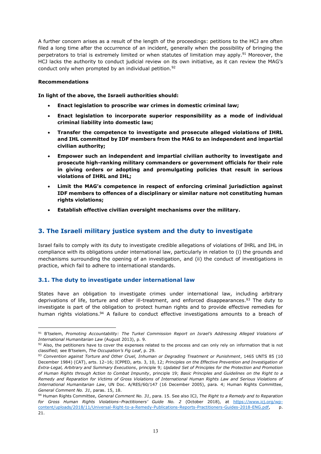A further concern arises as a result of the length of the proceedings: petitions to the HCJ are often filed a long time after the occurrence of an incident, generally when the possibility of bringing the perpetrators to trial is extremely limited or when statutes of limitation may apply.<sup>91</sup> Moreover, the HCJ lacks the authority to conduct judicial review on its own initiative, as it can review the MAG's conduct only when prompted by an individual petition.<sup>92</sup>

#### **Recommendations**

**In light of the above, the Israeli authorities should:**

- x **Enact legislation to proscribe war crimes in domestic criminal law;**
- x **Enact legislation to incorporate superior responsibility as a mode of individual criminal liability into domestic law;**
- x **Transfer the competence to investigate and prosecute alleged violations of IHRL and IHL committed by IDF members from the MAG to an independent and impartial civilian authority;**
- x **Empower such an independent and impartial civilian authority to investigate and prosecute high-ranking military commanders or government officials for their role in giving orders or adopting and promulgating policies that result in serious violations of IHRL and IHL;**
- Limit the MAG's competence in respect of enforcing criminal jurisdiction against **IDF members to offences of a disciplinary or similar nature not constituting human rights violations;**
- x **Establish effective civilian oversight mechanisms over the military.**

# **3. The Israeli military justice system and the duty to investigate**

Israel fails to comply with its duty to investigate credible allegations of violations of IHRL and IHL in compliance with its obligations under international law, particularly in relation to (i) the grounds and mechanisms surrounding the opening of an investigation, and (ii) the conduct of investigations in practice, which fail to adhere to international standards.

#### **3.1. The duty to investigate under international law**

States have an obligation to investigate crimes under international law, including arbitrary deprivations of life, torture and other ill-treatment, and enforced disappearances.<sup>93</sup> The duty to investigate is part of the obligation to protect human rights and to provide effective remedies for human rights violations.<sup>94</sup> A failure to conduct effective investigations amounts to a breach of

<sup>&</sup>lt;sup>91</sup> B'tselem, Promoting Accountability: The Turkel Commission Report on Israel's Addressing Alleged Violations of *International Humanitarian Law* (August 2013), p. 9.

 $92$  Also, the petitioners have to cover the expenses related to the process and can only rely on information that is not classified; see B'tselem, The Occupation's Fig Leaf, p. 29.

<sup>93</sup> *Convention against Torture and Other Cruel, Inhuman or Degrading Treatment or Punishment*, 1465 UNTS 85 (10 December 1984) (CAT), arts. 12-16; ICPPED, arts. 3, 10, 12; *Principles on the Effective Prevention and Investigation of Extra-Legal, Arbitrary and Summary Executions*, principle 9; *Updated Set of Principles for the Protection and Promotion of Human Rights through Action to Combat Impunity*, principle 19; *Basic Principles and Guidelines on the Right to a Remedy and Reparation for Victims of Gross Violations of International Human Rights Law and Serious Violations of International Humanitarian Law*, UN Doc. A/RES/60/147 (16 December 2005), para. 4; Human Rights Committee, *General Comment No. 31*, paras. 15, 18.

<sup>94</sup> Human Rights Committee, *General Comment No. 31*, para. 15. See also ICJ, *The Right to a Remedy and to Reparation for Gross Human Rights Violations±Practitioners¶ Guide No. 2* (October 2018), at [https://www.icj.org/wp](https://www.icj.org/wp-content/uploads/2018/11/Universal-Right-to-a-Remedy-Publications-Reports-Practitioners-Guides-2018-ENG.pdf)[content/uploads/2018/11/Universal-Right-to-a-Remedy-Publications-Reports-Practitioners-Guides-2018-ENG.pdf,](https://www.icj.org/wp-content/uploads/2018/11/Universal-Right-to-a-Remedy-Publications-Reports-Practitioners-Guides-2018-ENG.pdf) p. 21.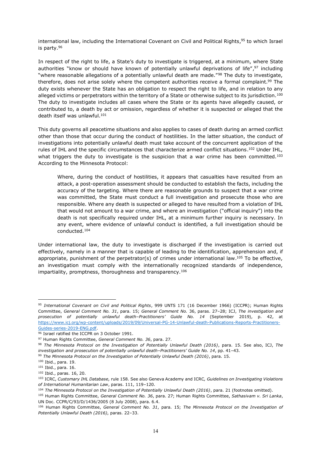international law, including the International Covenant on Civil and Political Rights,<sup>95</sup> to which Israel is party.96

In respect of the right to life, a State's duty to investigate is triggered, at a minimum, where State authorities "know or should have known of potentially unlawful deprivations of life", $97$  including "where reasonable allegations of a potentially unlawful death are made."<sup>98</sup> The duty to investigate, therefore, does not arise solely where the competent authorities receive a formal complaint.<sup>99</sup> The duty exists whenever the State has an obligation to respect the right to life, and in relation to any alleged victims or perpetrators within the territory of a State or otherwise subject to its jurisdiction.<sup>100</sup> The duty to investigate includes all cases where the State or its agents have allegedly caused, or contributed to, a death by act or omission, regardless of whether it is suspected or alleged that the death itself was unlawful.<sup>101</sup>

This duty governs all peacetime situations and also applies to cases of death during an armed conflict other than those that occur during the conduct of hostilities. In the latter situation, the conduct of investigations into potentially unlawful death must take account of the concurrent application of the rules of IHL and the specific circumstances that characterize armed conflict situations.<sup>102</sup> Under IHL, what triggers the duty to investigate is the suspicion that a war crime has been committed.<sup>103</sup> According to the Minnesota Protocol:

Where, during the conduct of hostilities, it appears that casualties have resulted from an attack, a post-operation assessment should be conducted to establish the facts, including the accuracy of the targeting. Where there are reasonable grounds to suspect that a war crime was committed, the State must conduct a full investigation and prosecute those who are responsible. Where any death is suspected or alleged to have resulted from a violation of IHL that would not amount to a war crime, and where an investigation ("official inquiry") into the death is not specifically required under IHL, at a minimum further inquiry is necessary. In any event, where evidence of unlawful conduct is identified, a full investigation should be conducted.104

Under international law, the duty to investigate is discharged if the investigation is carried out effectively, namely in a manner that is capable of leading to the identification, apprehension and, if appropriate, punishment of the perpetrator(s) of crimes under international law.<sup>105</sup> To be effective, an investigation must comply with the internationally recognized standards of independence, impartiality, promptness, thoroughness and transparency.<sup>106</sup>

<sup>95</sup> *International Covenant on Civil and Political Rights*, 999 UNTS 171 (16 December 1966) (ICCPR); Human Rights Committee, *General Comment No. 31*, para. 15; *General Comment No. 36*, paras. 27-28; ICJ, *The investigation and* prosecution of potentially unlawful death-Practitioners' Guide No. 14 (September 2019), p. 42, at [https://www.icj.org/wp-content/uploads/2019/09/Universal-PG-14-Unlawful-death-Publications-Reports-Practitioners-](https://www.icj.org/wp-content/uploads/2019/09/Universal-PG-14-Unlawful-death-Publications-Reports-Practitioners-Guides-series-2019-ENG.pdf)[Guides-series-2019-ENG.pdf.](https://www.icj.org/wp-content/uploads/2019/09/Universal-PG-14-Unlawful-death-Publications-Reports-Practitioners-Guides-series-2019-ENG.pdf)

<sup>96</sup> Israel ratified the ICCPR on 3 October 1991.

<sup>97</sup> Human Rights Committee, *General Comment No. 36*, para. 27.

<sup>98</sup> *The Minnesota Protocol on the Investigation of Potentially Unlawful Death (2016)*, para. 15. See also, ICJ, *The investigation and prosecution of potentially unlawful death-Practitioners' Guide No. 14, pp. 41-43.* 

<sup>99</sup> *The Minnesota Protocol on the Investigation of Potentially Unlawful Death (2016)*, para. 15.

<sup>100</sup> Ibid., para. 19.

<sup>101</sup> Ibid., para. 16.

<sup>102</sup> Ibid., paras. 16, 20.

<sup>103</sup> ICRC, *Customary IHL Database,* rule 158. See also Geneva Academy and ICRC*, Guidelines on Investigating Violations of International Humanitarian Law*, paras. 111, 119-120.

<sup>104</sup> *The Minnesota Protocol on the Investigation of Potentially Unlawful Death (2016)*, para. 21 (footnotes omitted).

<sup>105</sup> Human Rights Committee, *General Comment No. 36*, para. 27; Human Rights Committee, *Sathasivam v. Sri Lanka*, UN Doc. CCPR/C/93/D/1436/2005 (8 July 2008), para. 6.4.

<sup>106</sup> Human Rights Committee, *General Comment No. 31*, para. 15; *The Minnesota Protocol on the Investigation of*  Potentially Unlawful Death (2016), paras. 22-33.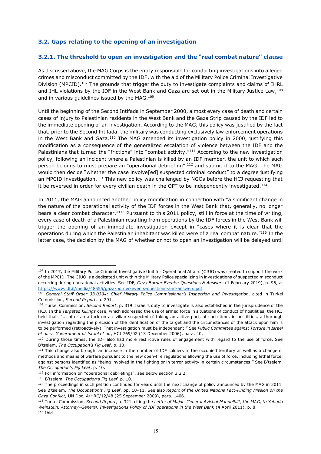#### **3.2. Gaps relating to the opening of an investigation**

#### **3.2.1. The threshold to open an investigation and the "real combat nature" clause**

As discussed above, the MAG Corps is the entity responsible for conducting investigations into alleged crimes and misconduct committed by the IDF, with the aid of the Military Police Criminal Investigative Division (MPCID).107 The grounds that trigger the duty to investigate complaints and claims of IHRL and IHL violations by the IDF in the West Bank and Gaza are set out in the Military Justice Law, 108 and in various guidelines issued by the MAG.<sup>109</sup>

Until the beginning of the Second Intifada in September 2000, almost every case of death and certain cases of injury to Palestinian residents in the West Bank and the Gaza Strip caused by the IDF led to the immediate opening of an investigation. According to the MAG, this policy was justified by the fact that, prior to the Second Intifada, the military was conducting exclusively law enforcement operations in the West Bank and Gaza.<sup>110</sup> The MAG amended its investigation policy in 2000, justifying this modification as a consequence of the generalized escalation of violence between the IDF and the Palestinians that turned the "frictions" into "combat activity."<sup>111</sup> According to the new investigation policy, following an incident where a Palestinian is killed by an IDF member, the unit to which such person belongs to must prepare an "operational debriefing",<sup>112</sup> and submit it to the MAG. The MAG would then decide "whether the case involve [ed] suspected criminal conduct" to a degree justifying an MPCID investigation.<sup>113</sup> This new policy was challenged by NGOs before the HCJ requesting that it be reversed in order for every civilian death in the OPT to be independently investigated.114

In 2011, the MAG announced another policy modification in connection with "a significant change in the nature of the operational activity of the IDF forces in the West Bank that, generally, no longer bears a clear combat character.<sup>"115</sup> Pursuant to this 2011 policy, still in force at the time of writing, every case of death of a Palestinian resulting from operations by the IDF forces in the West Bank will trigger the opening of an immediate investigation except in "cases where it is clear that the operations during which the Palestinian inhabitant was killed were of a real combat nature.<sup>"116</sup> In the latter case, the decision by the MAG of whether or not to open an investigation will be delayed until

<sup>&</sup>lt;sup>107</sup> In 2017, the Military Police Criminal Investigative Unit for Operational Affairs (CIUO) was created to support the work of the MPCID. The CIUO is a dedicated unit within the Military Police specializing in investigations of suspected misconduct occurring during operational activities. See IDF, *Gaza Border Events: Questions & Answers* (1 February 2019), p. 96, at [https://www.idf.il/media/48555/gaza-border-events-questions-and-answers.pdf.](https://www.idf.il/media/48555/gaza-border-events-questions-and-answers.pdf)

<sup>&</sup>lt;sup>108</sup> General Staff Order 33.0304: Chief Military Police Commissioner's Inspection and Investigation, cited in Turkel Commission, *Second Report*, p. 291.

<sup>&</sup>lt;sup>109</sup> Turkel Commission, *Second Report*, p. 319. Israel's duty to investigate is also established in the jurisprudence of the HCJ. In the *Targeted killings* case, which addressed the use of armed force in situations of conduct of hostilities, the HCJ held that: "... after an attack on a civilian suspected of taking an active part, at such time, in hostilities, a thorough investigation regarding the precision of the identification of the target and the circumstances of the attack upon him is to be performed (retroactively). That investigation must be independent.<sup>"</sup> See *Public Committee against Torture in Israel et al. v. Government of Israel et al.*, HCJ 769/02 (13 December 2006), para. 40.

<sup>&</sup>lt;sup>110</sup> During those times, the IDF also had more restrictive rules of engagement with regard to the use of force. See B'tselem, The Occupation's Fig Leaf, p. 10.

<sup>111</sup> This change also brought an increase in the number of IDF soldiers in the occupied territory as well as a change of methods and means of warfare pursuant to the new open-fire regulations allowing the use of force, including lethal force, against persons identified as "being involved in the fighting or in terror activity in certain circumstances." See B'tselem, *The Occupation's Fig Leaf, p. 10.* 

 $112$  For information on "operational debriefings", see below section 3.2.2.

<sup>113</sup> B'tselem, The Occupation's Fig Leaf, p. 10.

<sup>&</sup>lt;sup>114</sup> The proceedings in such petition continued for years until the next change of policy announced by the MAG in 2011. See B'tselem, The Occupation's Fig Leaf, pp. 10-11. See also Report of the United Nations Fact-Finding Mission on the *Gaza Conflict*, UN Doc. A/HRC/12/48 (25 September 2009), para. 1406.

<sup>115</sup> Turkel Commission, *Second Report*, p. 321, citing the *Letter of Major±General Avichai Mandelblit, the MAG, to Yehuda Weinstein, Attorney±General, Investigations Policy of IDF operations in the West Bank* (4 April 2011), p. 8.  $116$  Thid.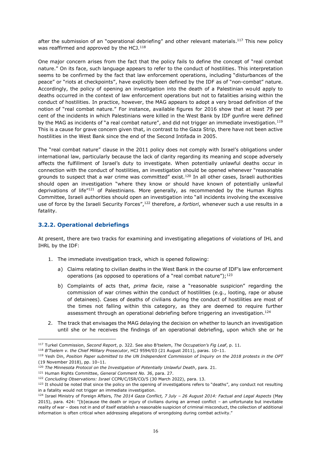after the submission of an "operational debriefing" and other relevant materials.<sup>117</sup> This new policy was reaffirmed and approved by the HCJ. $118$ 

One major concern arises from the fact that the policy fails to define the concept of "real combat nature." On its face, such language appears to refer to the conduct of hostilities. This interpretation seems to be confirmed by the fact that law enforcement operations, including "disturbances of the peace" or "riots at checkpoints", have explicitly been defined by the IDF as of "non-combat" nature. Accordingly, the policy of opening an investigation into the death of a Palestinian would apply to deaths occurred in the context of law enforcement operations but not to fatalities arising within the conduct of hostilities. In practice, however, the MAG appears to adopt a very broad definition of the notion of "real combat nature." For instance, available figures for 2016 show that at least 79 per cent of the incidents in which Palestinians were killed in the West Bank by IDF gunfire were defined by the MAG as incidents of "a real combat nature", and did not trigger an immediate investigation.<sup>119</sup> This is a cause for grave concern given that, in contrast to the Gaza Strip, there have not been active hostilities in the West Bank since the end of the Second Intifada in 2005.

The "real combat nature" clause in the 2011 policy does not comply with Israel's obligations under international law, particularly because the lack of clarity regarding its meaning and scope adversely affects the fulfillment of Israel's duty to investigate. When potentially unlawful deaths occur in connection with the conduct of hostilities, an investigation should be opened whenever "reasonable grounds to suspect that a war crime was committed" exist.<sup>120</sup> In all other cases, Israeli authorities should open an investigation "where they know or should have known of potentially unlawful deprivations of life<sup> $n_{121}$ </sup> of Palestinians. More generally, as recommended by the Human Rights Committee, Israeli authorities should open an investigation into "all incidents involving the excessive use of force by the Israeli Security Forces´,122 therefore, *a fortiori*, whenever such a use results in a fatality.

#### **3.2.2. Operational debriefings**

At present, there are two tracks for examining and investigating allegations of violations of IHL and IHRL by the IDF:

- 1. The immediate investigation track, which is opened following:
	- a) Claims relating to civilian deaths in the West Bank in the course of IDF's law enforcement operations (as opposed to operations of a "real combat nature");  $123$
	- b) Complaints of acts that, *prima facie*, raise a "reasonable suspicion" regarding the commission of war crimes within the conduct of hostilities (e.g., looting, rape or abuse of detainees). Cases of deaths of civilians during the conduct of hostilities are most of the times not falling within this category, as they are deemed to require further assessment through an operational debriefing before triggering an investigation.<sup>124</sup>
- 2. The track that envisages the MAG delaying the decision on whether to launch an investigation until she or he receives the findings of an operational debriefing, upon which she or he

<sup>117</sup> Turkel Commission, *Second Report*, p. 322. See also B'tselem, The Occupation's Fig Leaf, p. 11.

<sup>118</sup> B'Tselem v. the Chief Military Prosecutor, HCJ 9594/03 (21 August 2011), paras. 10-11.

<sup>119</sup> Yesh Din, *Position Paper submitted to the UN Independent Commission of Inquiry on the 2018 protests in the OPT* (19 November 2018), pp. 10-11.

<sup>120</sup> *The Minnesota Protocol on the Investigation of Potentially Unlawful Death*, para. 21.

<sup>121</sup> Human Rights Committee, *General Comment No. 36*, para. 27.

<sup>122</sup> *Concluding Observations: Israel* CCPR/C/ISR/CO/5 (30 March 2022), para. 13.

<sup>123</sup> It should be noted that since the policy on the opening of investigations refers to "deaths", any conduct not resulting in a fatality would not trigger an immediate investigation.

<sup>124</sup> Israel Ministry of Foreign Affairs, *The 2014 Gaza Conflict, 7 July ± 26 August 2014: Factual and Legal Aspects* (May 2015), para. 424: "[b]ecause the death or injury of civilians during an armed conflict - an unfortunate but inevitable reality of war - does not in and of itself establish a reasonable suspicion of criminal misconduct, the collection of additional information is often critical when addressing allegations of wrongdoing during combat activity."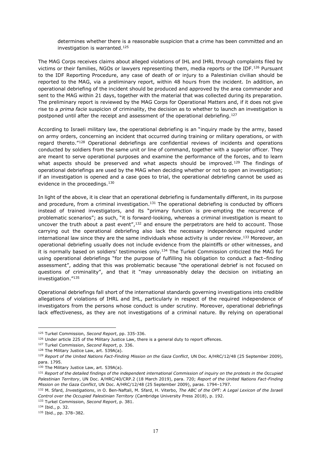determines whether there is a reasonable suspicion that a crime has been committed and an investigation is warranted.125

The MAG Corps receives claims about alleged violations of IHL and IHRL through complaints filed by victims or their families, NGOs or lawyers representing them, media reports or the IDF.<sup>126</sup> Pursuant to the IDF Reporting Procedure, any case of death of or injury to a Palestinian civilian should be reported to the MAG, via a preliminary report, within 48 hours from the incident. In addition, an operational debriefing of the incident should be produced and approved by the area commander and sent to the MAG within 21 days, together with the material that was collected during its preparation. The preliminary report is reviewed by the MAG Corps for Operational Matters and, if it does not give rise to a *prima facie* suspicion of criminality, the decision as to whether to launch an investigation is postponed until after the receipt and assessment of the operational debriefing.<sup>127</sup>

According to Israeli military law, the operational debriefing is an "inguiry made by the army, based on army orders, concerning an incident that occurred during training or military operations, or with regard thereto."<sup>128</sup> Operational debriefings are confidential reviews of incidents and operations conducted by soldiers from the same unit or line of command, together with a superior officer. They are meant to serve operational purposes and examine the performance of the forces, and to learn what aspects should be preserved and what aspects should be improved.<sup>129</sup> The findings of operational debriefings are used by the MAG when deciding whether or not to open an investigation; if an investigation is opened and a case goes to trial, the operational debriefing cannot be used as evidence in the proceedings.<sup>130</sup>

In light of the above, it is clear that an operational debriefing is fundamentally different, in its purpose and procedure, from a criminal investigation.<sup>131</sup> The operational debriefing is conducted by officers instead of trained investigators, and its "primary function is pre-empting the recurrence of problematic scenarios"; as such, "it is forward-looking, whereas a criminal investigation is meant to uncover the truth about a past event", $132$  and ensure the perpetrators are held to account. Those carrying out the operational debriefing also lack the necessary independence required under international law since they are the same individuals whose activity is under review.<sup>133</sup> Moreover, an operational debriefing usually does not include evidence from the plaintiffs or other witnesses, and it is normally based on soldiers' testimonies only.<sup>134</sup> The Turkel Commission criticized the MAG for using operational debriefings "for the purpose of fulfilling his obligation to conduct a fact-finding assessment", adding that this was problematic because "the operational debrief is not focused on questions of criminality", and that it "may unreasonably delay the decision on initiating an investigation."135

Operational debriefings fall short of the international standards governing investigations into credible allegations of violations of IHRL and IHL, particularly in respect of the required independence of investigators from the persons whose conduct is under scrutiny. Moreover, operational debriefings lack effectiveness, as they are not investigations of a criminal nature. By relying on operational

<sup>125</sup> Turkel Commission, *Second Report*, pp. 335-336.

<sup>&</sup>lt;sup>126</sup> Under article 225 of the Military Justice Law, there is a general duty to report offences.

<sup>127</sup> Turkel Commission, *Second Report*, p. 336.

<sup>128</sup> The Military Justice Law, art. 539A(a).

<sup>129</sup> *Report of the United Nations Fact-Finding Mission on the Gaza Conflict*, UN Doc. A/HRC/12/48 (25 September 2009), para. 1795.

<sup>130</sup> The Military Justice Law, art. 539A(a).

<sup>131</sup> *Report of the detailed findings of the independent international Commission of inquiry on the protests in the Occupied Palestinian Territory*, UN Doc. A/HRC/40/CRP.2 (18 March 2019), para. 720; *Report of the United Nations Fact-Finding Mission on the Gaza Conflict*, UN Doc. A/HRC/12/48 (25 September 2009), paras. 1794-1797.

<sup>132</sup> M. Sfard, *Investigations*, in O. Ben-Naftali, M. Sfard, H. Viterbo, *The ABC of the OPT: A Legal Lexicon of the Israeli Control over the Occupied Palestinian Territory* (Cambridge University Press 2018), p. 192.

<sup>133</sup> Turkel Commission, *Second Report*, p. 381.

<sup>134</sup> Ibid., p. 32.

<sup>135</sup> Ibid., pp. 378-382.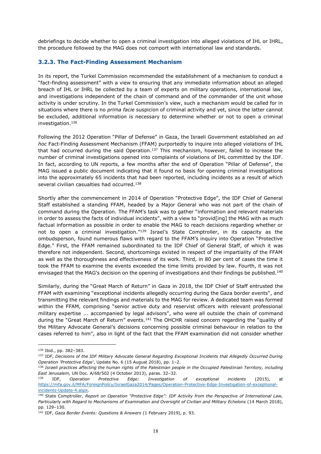debriefings to decide whether to open a criminal investigation into alleged violations of IHL or IHRL, the procedure followed by the MAG does not comport with international law and standards.

#### **3.2.3. The Fact-Finding Assessment Mechanism**

In its report, the Turkel Commission recommended the establishment of a mechanism to conduct a "fact-finding assessment" with a view to ensuring that any immediate information about an alleged breach of IHL or IHRL be collected by a team of experts on military operations, international law, and investigations independent of the chain of command and of the commander of the unit whose activity is under scrutiny. In the Turkel Commission's view, such a mechanism would be called for in situations where there is no *prima facie* suspicion of criminal activity and yet, since the latter cannot be excluded, additional information is necessary to determine whether or not to open a criminal investigation.136

Following the 2012 Operation "Pillar of Defense" in Gaza, the Israeli Government established an *ad hoc* Fact-Finding Assessment Mechanism (FFAM) purportedly to inquire into alleged violations of IHL that had occurred during the said Operation.<sup>137</sup> This mechanism, however, failed to increase the number of criminal investigations opened into complaints of violations of IHL committed by the IDF. In fact, according to UN reports, a few months after the end of Operation "Pillar of Defense", the MAG issued a public document indicating that it found no basis for opening criminal investigations into the approximately 65 incidents that had been reported, including incidents as a result of which several civilian casualties had occurred.<sup>138</sup>

Shortly after the commencement in 2014 of Operation "Protective Edge", the IDF Chief of General Staff established a standing FFAM, headed by a Major General who was not part of the chain of command during the Operation. The FFAM's task was to gather "information and relevant materials in order to assess the facts of individual incidents", with a view to "provid[ing] the MAG with as much factual information as possible in order to enable the MAG to reach decisions regarding whether or not to open a criminal investigation."139 Israel's State Comptroller, in its capacity as the ombudsperson, found numerous flaws with regard to the FFAM's inquiry into Operation "Protective Edge.´ First, the FFAM remained subordinated to the IDF Chief of General Staff, of which it was therefore not independent. Second, shortcomings existed in respect of the impartiality of the FFAM as well as the thoroughness and effectiveness of its work. Third, in 80 per cent of cases the time it took the FFAM to examine the events exceeded the time limits provided by law. Fourth, it was not envisaged that the MAG's decision on the opening of investigations and their findings be published.<sup>140</sup>

Similarly, during the "Great March of Return" in Gaza in 2018, the IDF Chief of Staff entrusted the FFAM with examining "exceptional incidents allegedly occurring during the Gaza border events", and transmitting the relevant findings and materials to the MAG for review. A dedicated team was formed within the FFAM, comprising "senior active duty and reservist officers with relevant professional military expertise ... accompanied by legal advisors", who were all outside the chain of command during the "Great March of Return" events.<sup>141</sup> The OHCHR raised concern regarding the "quality of the Military Advocate General's decisions concerning possible criminal behaviour in relation to the cases referred to him", also in light of the fact that the FFAM examination did not consider whether

<sup>136</sup> Ibid., pp. 382-383.

<sup>137</sup> IDF, *Decisions of the IDF Military Advocate General Regarding Exceptional Incidents that Allegedly Occurred During Operation 'Protective Edge'*, Update No. 6 (15 August 2018), pp. 1-2.

<sup>138</sup> *Israeli practices affecting the human rights of the Palestinian people in the Occupied Palestinian Territory, including East Jerusalem, UN Doc. A*/68/502 (4 October 2013), paras. 32-32.

<sup>139</sup> IDF, *Operation Protective Edge: Investigation of exceptional incidents* (2015), at [https://mfa.gov.il/MFA/ForeignPolicy/IsraelGaza2014/Pages/Operation-Protective-Edge-Investigation-of-exceptional](https://mfa.gov.il/MFA/ForeignPolicy/IsraelGaza2014/Pages/Operation-Protective-Edge-Investigation-of-exceptional-incidents-Update-4.aspx)[incidents-Update-4.aspx.](https://mfa.gov.il/MFA/ForeignPolicy/IsraelGaza2014/Pages/Operation-Protective-Edge-Investigation-of-exceptional-incidents-Update-4.aspx)

<sup>140</sup> State Comptroller, *Report on Operation "Protective Edge": IDF Activity from the Perspective of International Law*, *Particularly with Regard to Mechanisms of Examination and Oversight of Civilian and Military Echelons* (14 March 2018), pp. 129±130.

<sup>141</sup> IDF, *Gaza Border Events: Questions & Answers* (1 February 2019), p. 93.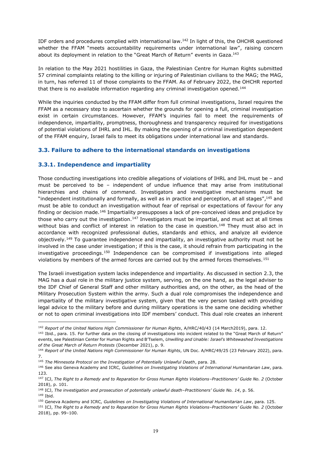IDF orders and procedures complied with international law.142 In light of this, the OHCHR questioned whether the FFAM "meets accountability requirements under international law", raising concern about its deployment in relation to the "Great March of Return" events in Gaza.<sup>143</sup>

In relation to the May 2021 hostilities in Gaza, the Palestinian Centre for Human Rights submitted 57 criminal complaints relating to the killing or injuring of Palestinian civilians to the MAG; the MAG, in turn, has referred 11 of those complaints to the FFAM. As of February 2022, the OHCHR reported that there is no available information regarding any criminal investigation opened.<sup>144</sup>

While the inquiries conducted by the FFAM differ from full criminal investigations, Israel requires the FFAM as a necessary step to ascertain whether the grounds for opening a full, criminal investigation exist in certain circumstances. However, FFAM's inquiries fail to meet the requirements of independence, impartiality, promptness, thoroughness and transparency required for investigations of potential violations of IHRL and IHL. By making the opening of a criminal investigation dependent of the FFAM enquiry, Israel fails to meet its obligations under international law and standards.

### **3.3. Failure to adhere to the international standards on investigations**

#### **3.3.1. Independence and impartiality**

Those conducting investigations into credible allegations of violations of IHRL and IHL must be  $-$  and must be perceived to be - independent of undue influence that may arise from institutional hierarchies and chains of command. Investigators and investigative mechanisms must be "independent institutionally and formally, as well as in practice and perception, at all stages", $^{145}$  and must be able to conduct an investigation without fear of reprisal or expectations of favour for any finding or decision made.<sup>146</sup> Impartiality presupposes a lack of pre-conceived ideas and prejudice by those who carry out the investigation.<sup>147</sup> Investigators must be impartial, and must act at all times without bias and conflict of interest in relation to the case in question.<sup>148</sup> They must also act in accordance with recognized professional duties, standards and ethics, and analyze all evidence objectively.149 To guarantee independence and impartiality, an investigative authority must not be involved in the case under investigation; if this is the case, it should refrain from participating in the investigative proceedings.150 Independence can be compromised if investigations into alleged violations by members of the armed forces are carried out by the armed forces themselves.<sup>151</sup>

The Israeli investigation system lacks independence and impartiality. As discussed in section 2.3, the MAG has a dual role in the military justice system, serving, on the one hand, as the legal adviser to the IDF Chief of General Staff and other military authorities and, on the other, as the head of the Military Prosecution System within the army. Such a dual role compromises the independence and impartiality of the military investigative system, given that the very person tasked with providing legal advice to the military before and during military operations is the same one deciding whether or not to open criminal investigations into IDF members' conduct. This dual role creates an inherent

<sup>142</sup> *Report of the United Nations High Commissioner for Human Rights*, A/HRC/40/43 (14 March2019), para. 12.

<sup>143</sup> Ibid., para. 15. For further data on the closing of investigations into incident related to the "Great March of Return" events, see Palestinian Center for Human Rights and B'Tselem, Unwilling and Unable: Israel's Whitewashed Investigations *of the Great March of Return Protests* (December 2021), p. 9.

<sup>144</sup> *Report of the United Nations High Commissioner for Human Rights*, UN Doc. A/HRC/49/25 (23 February 2022), para. 7.

<sup>145</sup> *The Minnesota Protocol on the Investigation of Potentially Unlawful Death*, para. 28.

<sup>146</sup> See also Geneva Academy and ICRC*, Guidelines on Investigating Violations of International Humanitarian Law*, para. 123.

<sup>147</sup> ICJ, *The Right to a Remedy and to Reparation for Gross Human Rights Violations±Practitioners¶ Guide No. 2* (October 2018), p. 101.

<sup>&</sup>lt;sup>148</sup> ICJ, *The investigation and prosecution of potentially unlawful death-Practitioners' Guide No. 14, p. 56.* <sup>149</sup> Ibid.

<sup>150</sup> Geneva Academy and ICRC*, Guidelines on Investigating Violations of International Humanitarian Law*, para. 125.

<sup>151</sup> ICJ, *The Right to a Remedy and to Reparation for Gross Human Rights Violations±Practitioners¶ Guide No. 2* (October 2018), pp. 99-100.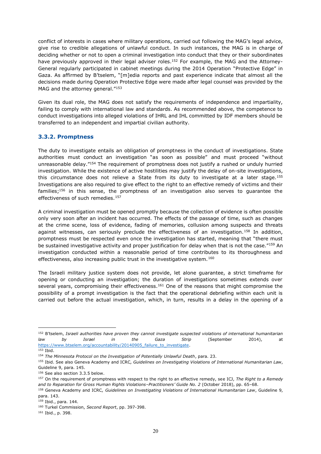conflict of interests in cases where military operations, carried out following the MAG's legal advice, give rise to credible allegations of unlawful conduct. In such instances, the MAG is in charge of deciding whether or not to open a criminal investigation into conduct that they or their subordinates have previously approved in their legal adviser roles.<sup>152</sup> For example, the MAG and the Attorney-General regularly participated in cabinet meetings during the 2014 Operation "Protective Edge" in Gaza. As affirmed by B'tselem, "[m]edia reports and past experience indicate that almost all the decisions made during Operation Protective Edge were made after legal counsel was provided by the MAG and the attorney general."153

Given its dual role, the MAG does not satisfy the requirements of independence and impartiality, failing to comply with international law and standards. As recommended above, the competence to conduct investigations into alleged violations of IHRL and IHL committed by IDF members should be transferred to an independent and impartial civilian authority.

#### **3.3.2. Promptness**

The duty to investigate entails an obligation of promptness in the conduct of investigations. State authorities must conduct an investigation "as soon as possible" and must proceed "without unreasonable delay."154 The requirement of promptness does not justify a rushed or unduly hurried investigation. While the existence of active hostilities may justify the delay of on-site investigations, this circumstance does not relieve a State from its duty to investigate at a later stage.<sup>155</sup> Investigations are also required to give effect to the right to an effective remedy of victims and their families;156 in this sense, the promptness of an investigation also serves to guarantee the effectiveness of such remedies.<sup>157</sup>

A criminal investigation must be opened promptly because the collection of evidence is often possible only very soon after an incident has occurred. The effects of the passage of time, such as changes at the crime scene, loss of evidence, fading of memories, collusion among suspects and threats against witnesses, can seriously preclude the effectiveness of an investigation.<sup>158</sup> In addition, promptness must be respected even once the investigation has started, meaning that "there must be sustained investigative activity and proper justification for delay when that is not the case.<sup> $r_{159}$ </sup> An investigation conducted within a reasonable period of time contributes to its thoroughness and effectiveness, also increasing public trust in the investigative system.<sup>160</sup>

The Israeli military justice system does not provide, let alone guarantee, a strict timeframe for opening or conducting an investigation; the duration of investigations sometimes extends over several years, compromising their effectiveness.<sup>161</sup> One of the reasons that might compromise the possibility of a prompt investigation is the fact that the operational debriefing within each unit is carried out before the actual investigation, which, in turn, results in a delay in the opening of a

<sup>&</sup>lt;sup>152</sup> B'tselem, Israeli authorities have proven they cannot investigate suspected violations of international humanitarian *law by Israel in the Gaza Strip* (September 2014), at https://www.btselem.org/accountability/20140905 failure\_to\_investigate.

<sup>153</sup> Ibid.

<sup>154</sup> *The Minnesota Protocol on the Investigation of Potentially Unlawful Death*, para. 23.

<sup>155</sup> Ibid. See also Geneva Academy and ICRC*, Guidelines on Investigating Violations of International Humanitarian Law*, Guideline 9, para. 145.

<sup>156</sup> See also section 3.3.5 below.

<sup>157</sup> On the requirement of promptness with respect to the right to an effective remedy, see ICJ, *The Right to a Remedy and to Reparation for Gross Human Rights Violations±Practitioners¶ Guide No. 2* (October 2018), pp. 65±68. <sup>158</sup> Geneva Academy and ICRC*, Guidelines on Investigating Violations of International Humanitarian Law*, Guideline 9,

para. 143.

<sup>.&</sup>lt;br><sup>159</sup> Ibid., para. 144.

<sup>160</sup> Turkel Commission, *Second Report*, pp. 397-398.

<sup>161</sup> Ibid., p. 398.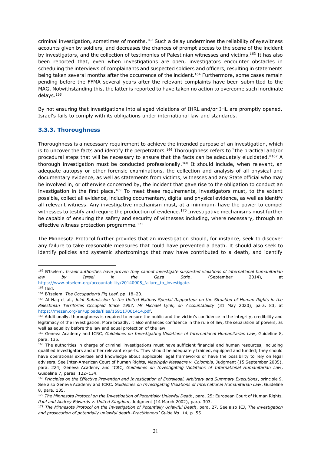criminal investigation, sometimes of months.162 Such a delay undermines the reliability of eyewitness accounts given by soldiers, and decreases the chances of prompt access to the scene of the incident by investigators, and the collection of testimonies of Palestinian witnesses and victims.163 It has also been reported that, even when investigations are open, investigators encounter obstacles in scheduling the interviews of complainants and suspected soldiers and officers, resulting in statements being taken several months after the occurrence of the incident.<sup>164</sup> Furthermore, some cases remain pending before the FFMA several years after the relevant complaints have been submitted to the MAG. Notwithstanding this, the latter is reported to have taken no action to overcome such inordinate delays.165

By not ensuring that investigations into alleged violations of IHRL and/or IHL are promptly opened, Israel's fails to comply with its obligations under international law and standards.

### **3.3.3. Thoroughness**

Thoroughness is a necessary requirement to achieve the intended purpose of an investigation, which is to uncover the facts and identify the perpetrators.<sup>166</sup> Thoroughness refers to "the practical and/or procedural steps that will be necessary to ensure that the facts can be adequately elucidated."<sup>167</sup> A thorough investigation must be conducted professionally.<sup>168</sup> It should include, when relevant, an adequate autopsy or other forensic examinations, the collection and analysis of all physical and documentary evidence, as well as statements from victims, witnesses and any State official who may be involved in, or otherwise concerned by, the incident that gave rise to the obligation to conduct an investigation in the first place.<sup>169</sup> To meet these requirements, investigators must, to the extent possible, collect all evidence, including documentary, digital and physical evidence, as well as identify all relevant witness. Any investigative mechanism must, at a minimum, have the power to compel witnesses to testify and require the production of evidence.<sup>170</sup> Investigative mechanisms must further be capable of ensuring the safety and security of witnesses including, where necessary, through an effective witness protection programme.<sup>171</sup>

The Minnesota Protocol further provides that an investigation should, for instance, seek to discover any failure to take reasonable measures that could have prevented a death. It should also seek to identify policies and systemic shortcomings that may have contributed to a death, and identify

<sup>&</sup>lt;sup>162</sup> B'tselem, Israeli authorities have proven they cannot investigate suspected violations of international humanitarian *law by Israel in the Gaza Strip*, (September 2014), at https://www.btselem.org/accountability/20140905 failure\_to\_investigate.

<sup>163</sup> Ibid.

<sup>&</sup>lt;sup>164</sup> B'tselem, The Occupation's Fig Leaf, pp. 18-20.

<sup>165</sup> Al Haq et al., *Joint Submission to the United Nations Special Rapporteur on the Situation of Human Rights in the Palestinian Territories Occupied Since 1967, Mr Michael Lynk, on Accountability* (31 May 2020), para. 83, at [https://mezan.org/en/uploads/files/159117061414.pdf.](https://mezan.org/en/uploads/files/159117061414.pdf)

<sup>166</sup> Additionally, thoroughness is required to ensure the public and the victim's confidence in the integrity, credibility and legitimacy of the investigation. More broadly, it also enhances confidence in the rule of law, the separation of powers, as well as equality before the law and equal protection of the law.

<sup>167</sup> Geneva Academy and ICRC*, Guidelines on Investigating Violations of International Humanitarian Law*, Guideline 8, para. 135.

<sup>168</sup> The authorities in charge of criminal investigations must have sufficient financial and human resources, including qualified investigators and other relevant experts. They should be adequately trained, equipped and funded; they should have operational expertise and knowledge about applicable legal frameworks or have the possibility to rely on legal advisers. See Inter-American Court of human Rights, *Mapiripán Massacre v. Colombia*, Judgment (15 September 2005), para. 224; Geneva Academy and ICRC*, Guidelines on Investigating Violations of International Humanitarian Law*, Guideline 7, paras. 122-134.

<sup>&</sup>lt;sup>169</sup> Principles on the Effective Prevention and Investigation of Extralegal, Arbitrary and Summary Executions, principle 9. See also Geneva Academy and ICRC*, Guidelines on Investigating Violations of International Humanitarian Law*, Guideline 8, para. 135.

<sup>170</sup> *The Minnesota Protocol on the Investigation of Potentially Unlawful Death*, para. 25; European Court of Human Rights, *Paul and Audrey Edwards v. United Kingdom*, Judgment (14 March 2002), para. 303.

<sup>171</sup> *The Minnesota Protocol on the Investigation of Potentially Unlawful Death*, para. 27. See also ICJ, *The investigation*  and prosecution of potentially unlawful death-Practitioners' Guide No. 14, p. 55.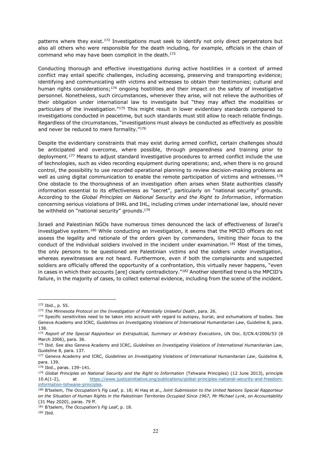patterns where they exist.172 Investigations must seek to identify not only direct perpetrators but also all others who were responsible for the death including, for example, officials in the chain of command who may have been complicit in the death.173

Conducting thorough and effective investigations during active hostilities in a context of armed conflict may entail specific challenges, including accessing, preserving and transporting evidence; identifying and communicating with victims and witnesses to obtain their testimonies; cultural and human rights considerations;<sup>174</sup> ongoing hostilities and their impact on the safety of investigative personnel. Nonetheless, such circumstances, whenever they arise, will not relieve the authorities of their obligation under international law to investigate but "they may affect the modalities or particulars of the investigation."<sup>175</sup> This might result in lower evidentiary standards compared to investigations conducted in peacetime, but such standards must still allow to reach reliable findings. Regardless of the circumstances, "investigations must always be conducted as effectively as possible and never be reduced to mere formality. $"176"$ 

Despite the evidentiary constraints that may exist during armed conflict, certain challenges should be anticipated and overcome, where possible, through preparedness and training prior to deployment.<sup>177</sup> Means to adjust standard investigative procedures to armed conflict include the use of technologies, such as video recording equipment during operations; and, when there is no ground control, the possibility to use recorded operational planning to review decision-making problems as well as using digital communication to enable the remote participation of victims and witnesses.<sup>178</sup> One obstacle to the thoroughness of an investigation often arises when State authorities classify information essential to its effectiveness as "secret", particularly on "national security" grounds. According to the *Global Principles on National Security and the Right to Information*, information concerning serious violations of IHRL and IHL, including crimes under international law, should never be withheld on "national security" grounds.<sup>179</sup>

Israeli and Palestinian NGOs have numerous times denounced the lack of effectiveness of Israel's investigative system.<sup>180</sup> While conducting an investigation, it seems that the MPCID officers do not assess the legality and rationale of the orders given by commanders, limiting their focus to the conduct of the individual soldiers involved in the incident under examination.<sup>181</sup> Most of the times, the only persons to be questioned are Palestinian victims and the soldiers under investigation, whereas eyewitnesses are not heard. Furthermore, even if both the complainants and suspected soldiers are officially offered the opportunity of a confrontation, this virtually never happens, "even in cases in which their accounts [are] clearly contradictory."<sup>182</sup> Another identified trend is the MPCID's failure, in the majority of cases, to collect external evidence, including from the scene of the incident.

<sup>172</sup> Ibid., p. 55.

<sup>173</sup> *The Minnesota Protocol on the Investigation of Potentially Unlawful Death*, para. 26.

<sup>&</sup>lt;sup>174</sup> Specific sensitivities need to be taken into account with regard to autopsy, burial, and exhumations of bodies. See Geneva Academy and ICRC*, Guidelines on Investigating Violations of International Humanitarian Law*, Guideline 8, para. 138.

<sup>175</sup> *Report of the Special Rapporteur on Extrajudicial, Summary or Arbitrary Executions*, UN Doc. E/CN.4/2006/53 (8 March 2006), para. 36.

<sup>176</sup> Ibid. See also Geneva Academy and ICRC*, Guidelines on Investigating Violations of International Humanitarian Law*, Guideline 8, para. 137.

<sup>177</sup> Geneva Academy and ICRC*, Guidelines on Investigating Violations of International Humanitarian Law*, Guideline 8, para. 139.

<sup>178</sup> Ibid., paras. 139-141.

<sup>179</sup> *Global Principles on National Security and the Right to Information* (Tshwane Principles) (12 June 2013), principle 10.A(1-2), at [https://www.justiceinitiative.org/publications/global-principles-national-security-and-freedom](https://www.justiceinitiative.org/publications/global-principles-national-security-and-freedom-information-tshwane-principles)[information-tshwane-principles.](https://www.justiceinitiative.org/publications/global-principles-national-security-and-freedom-information-tshwane-principles)

<sup>180</sup> B'tselem, The Occupation's Fig Leaf, p. 18; Al Haq et al., *Joint Submission to the United Nations Special Rapporteur on the Situation of Human Rights in the Palestinian Territories Occupied Since 1967, Mr Michael Lynk, on Accountability* (31 May 2020), paras. 79 ff.

<sup>&</sup>lt;sup>181</sup> B'tselem, The Occupation's Fig Leaf, p. 18.

<sup>182</sup> Ibid.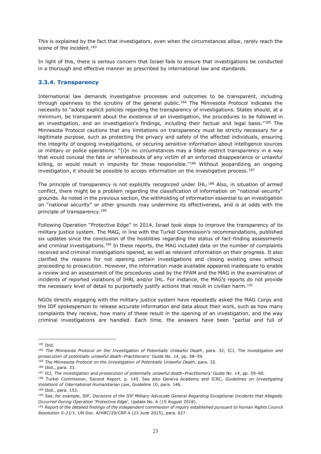This is explained by the fact that investigators, even when the circumstances allow, rarely reach the scene of the incident.<sup>183</sup>

In light of this, there is serious concern that Israel fails to ensure that investigations be conducted in a thorough and effective manner as prescribed by international law and standards.

#### **3.3.4. Transparency**

International law demands investigative processes and outcomes to be transparent, including through openness to the scrutiny of the general public.<sup>184</sup> The Minnesota Protocol indicates the necessity to "adopt explicit policies regarding the transparency of investigations. States should, at a minimum, be transparent about the existence of an investigation, the procedures to be followed in an investigation, and an investigation's findings, including their factual and legal basis."185 The Minnesota Protocol cautions that any limitations on transparency must be strictly necessary for a legitimate purpose, such as protecting the privacy and safety of the affected individuals, ensuring the integrity of ongoing investigations, or securing sensitive information about intelligence sources or military or police operations: "[i]n no circumstances may a State restrict transparency in a way that would conceal the fate or whereabouts of any victim of an enforced disappearance or unlawful killing, or would result in impunity for those responsible." $186$  Without jeopardizing an ongoing investigation, it should be possible to access information on the investigative process.<sup>187</sup>

The principle of transparency is not explicitly recognized under IHL.<sup>188</sup> Also, in situation of armed conflict, there might be a problem regarding the classification of information on "national security" grounds. As noted in the previous section, the withholding of information essential to an investigation on "national security" or other grounds may undermine its effectiveness, and is at odds with the principle of transparency.189

Following Operation "Protective Edge" in 2014, Israel took steps to improve the transparency of its military justice system. The MAG, in line with the Turkel Commission's recommendations, published six updates since the conclusion of the hostilities regarding the status of fact-finding assessments and criminal investigations.<sup>190</sup> In these reports, the MAG included data on the number of complaints received and criminal investigations opened, as well as relevant information on their progress. It also clarified the reasons for not opening certain investigations and closing existing ones without proceeding to prosecution. However, the information made available appeared inadequate to enable a review and an assessment of the procedures used by the FFAM and the MAG in the examination of incidents of reported violations of IHRL and/or IHL. For instance, the MAG's reports do not provide the necessary level of detail to purportedly justify actions that result in civilian harm.<sup>191</sup>

NGOs directly engaging with the military justice system have repeatedly asked the MAG Corps and the IDF spokesperson to release accurate information and data about their work, such as how many complaints they receive, how many of these result in the opening of an investigation, and the way criminal investigations are handled. Each time, the answers have been "partial and full of

<sup>183</sup> Ibid.

<sup>184</sup> *The Minnesota Protocol on the Investigation of Potentially Unlawful Death*, para. 32; ICJ, *The investigation and prosecution of potentially unlawful death-Practitioners' Guide No. 14, pp. 58-59.* 

<sup>185</sup> *The Minnesota Protocol on the Investigation of Potentially Unlawful Death*, para. 32.

<sup>186</sup> Ibid., para. 33.

<sup>187</sup> ICJ, The investigation and prosecution of potentially unlawful death-Practitioners' Guide No. 14, pp. 59-60.

<sup>188</sup> Turkel Commission, Second Report, p. 145. See also Geneva Academy and ICRC*, Guidelines on Investigating Violations of International Humanitarian Law*, Guideline 10, para. 146.

<sup>189</sup> Ibid., para. 153.

<sup>190</sup> See, for example, IDF, *Decisions of the IDF Military Advocate General Regarding Exceptional Incidents that Allegedly Occurred During Operation 'Protective Edge'*, Update No. 6 (15 August 2018).

<sup>191</sup> *Report of the detailed findings of the independent commission of inquiry established pursuant to Human Rights Council Resolution S-21/1*, UN Doc. A/HRC/29/CRP.4 (23 June 2015), para. 627.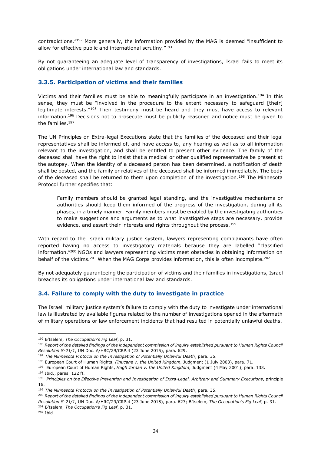contradictions.<sup>"192</sup> More generally, the information provided by the MAG is deemed "insufficient to allow for effective public and international scrutiny."193

By not guaranteeing an adequate level of transparency of investigations, Israel fails to meet its obligations under international law and standards.

#### **3.3.5. Participation of victims and their families**

Victims and their families must be able to meaningfully participate in an investigation.<sup>194</sup> In this sense, they must be "involved in the procedure to the extent necessary to safeguard [their] legitimate interests."<sup>195</sup> Their testimony must be heard and they must have access to relevant information.<sup>196</sup> Decisions not to prosecute must be publicly reasoned and notice must be given to the families.197

The UN Principles on Extra-legal Executions state that the families of the deceased and their legal representatives shall be informed of, and have access to, any hearing as well as to all information relevant to the investigation, and shall be entitled to present other evidence. The family of the deceased shall have the right to insist that a medical or other qualified representative be present at the autopsy. When the identity of a deceased person has been determined, a notification of death shall be posted, and the family or relatives of the deceased shall be informed immediately. The body of the deceased shall be returned to them upon completion of the investigation.<sup>198</sup> The Minnesota Protocol further specifies that:

Family members should be granted legal standing, and the investigative mechanisms or authorities should keep them informed of the progress of the investigation, during all its phases, in a timely manner. Family members must be enabled by the investigating authorities to make suggestions and arguments as to what investigative steps are necessary, provide evidence, and assert their interests and rights throughout the process.<sup>199</sup>

With regard to the Israeli military justice system, lawyers representing complainants have often reported having no access to investigatory materials because they are labelled "classified information.<sup>"200</sup> NGOs and lawyers representing victims meet obstacles in obtaining information on behalf of the victims.<sup>201</sup> When the MAG Corps provides information, this is often incomplete.<sup>202</sup>

By not adequately guaranteeing the participation of victims and their families in investigations, Israel breaches its obligations under international law and standards.

#### **3.4. Failure to comply with the duty to investigate in practice**

The Israeli military justice system's failure to comply with the duty to investigate under international law is illustrated by available figures related to the number of investigations opened in the aftermath of military operations or law enforcement incidents that had resulted in potentially unlawful deaths.

<sup>200</sup> Report of the detailed findings of the independent commission of inquiry established pursuant to Human Rights Council *Resolution S-21/1*, UN Doc. A/HRC/29/CRP.4 (23 June 2015), para. 627; B'tselem, The Occupation's Fig Leaf, p. 31. <sup>201</sup> B'tselem, The Occupation's Fig Leaf, p. 31.

<sup>202</sup> Ibid.

<sup>&</sup>lt;sup>192</sup> B'tselem, The Occupation's Fig Leaf, p. 31.

<sup>193</sup> *Report of the detailed findings of the independent commission of inquiry established pursuant to Human Rights Council Resolution S-21/1*, UN Doc. A/HRC/29/CRP.4 (23 June 2015), para. 629.

<sup>194</sup> *The Minnesota Protocol on the Investigation of Potentially Unlawful Death*, para. 35.

<sup>195</sup> European Court of Human Rights, *Finucane v. the United Kingdom*, Judgment (1 July 2003), para. 71.

<sup>196</sup> European Court of Human Rights, *Hugh Jordan v. the United Kingdom*, Judgment (4 May 2001), para. 133. <sup>197</sup> Ibid., paras. 122 ff.

<sup>198</sup> *Principles on the Effective Prevention and Investigation of Extra-Legal, Arbitrary and Summary Executions*, principle 16.

<sup>199</sup> *The Minnesota Protocol on the Investigation of Potentially Unlawful Death*, para. 35.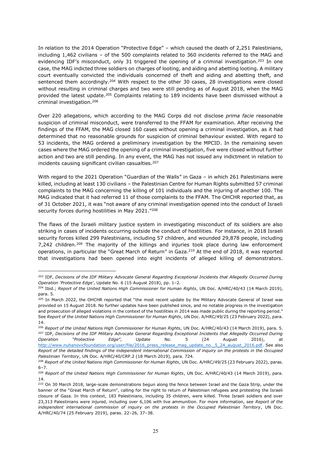In relation to the 2014 Operation "Protective Edge"  $-$  which caused the death of 2,251 Palestinians, including  $1,462$  civilians - of the 500 complaints related to 360 incidents referred to the MAG and evidencing IDF's misconduct, only 31 triggered the opening of a criminal investigation.<sup>203</sup> In one case, the MAG indicted three soldiers on charges of looting, and aiding and abetting looting. A military court eventually convicted the individuals concerned of theft and aiding and abetting theft, and sentenced them accordingly.<sup>204</sup> With respect to the other 30 cases, 28 investigations were closed without resulting in criminal charges and two were still pending as of August 2018, when the MAG provided the latest update.205 Complaints relating to 189 incidents have been dismissed without a criminal investigation.206

Over 220 allegations, which according to the MAG Corps did not disclose *prima facie* reasonable suspicion of criminal misconduct, were transferred to the FFAM for examination. After receiving the findings of the FFAM, the MAG closed 160 cases without opening a criminal investigation, as it had determined that no reasonable grounds for suspicion of criminal behaviour existed. With regard to 53 incidents, the MAG ordered a preliminary investigation by the MPCID. In the remaining seven cases where the MAG ordered the opening of a criminal investigation, five were closed without further action and two are still pending. In any event, the MAG has not issued any indictment in relation to incidents causing significant civilian casualties.<sup>207</sup>

With regard to the 2021 Operation "Guardian of the Walls" in Gaza - in which 261 Palestinians were killed, including at least 130 civilians - the Palestinian Centre for Human Rights submitted 57 criminal complaints to the MAG concerning the killing of 101 individuals and the injuring of another 100. The MAG indicated that it had referred 11 of those complaints to the FFAM. The OHCHR reported that, as of 31 October 2021, it was "not aware of any criminal investigation opened into the conduct of Israeli security forces during hostilities in May 2021. $^{\prime\prime208}$ 

The flaws of the Israeli military justice system in investigating misconduct of its soldiers are also striking in cases of incidents occurring outside the conduct of hostilities. For instance, in 2018 Israeli security forces killed 299 Palestinians, including 57 children, and wounded 29,878 people, including 7,242 children.<sup>209</sup> The majority of the killings and injuries took place during law enforcement operations, in particular the "Great March of Return" in Gaza.<sup>210</sup> At the end of 2018, it was reported that investigations had been opened into eight incidents of alleged killing of demonstrators.

<sup>203</sup> IDF, *Decisions of the IDF Military Advocate General Regarding Exceptional Incidents that Allegedly Occurred During*  Operation 'Protective Edge', Update No. 6 (15 August 2018), pp. 1-2.

<sup>204</sup> Ibid.; *Report of the United Nations High Commissioner for Human Rights*, UN Doc. A/HRC/40/43 (14 March 2019), para. 5.

<sup>&</sup>lt;sup>205</sup> In March 2022, the OHCHR reported that "the most recent update by the Military Advocate General of Israel was provided on 15 August 2018. No further updates have been published since, and no notable progress in the investigation and prosecution of alleged violations in the context of the hostilities in 2014 was made public during the reporting period." See *Report of the United Nations High Commissioner for Human Rights*, UN Doc. A/HRC/49/25 (23 February 2022), para. 14.

<sup>206</sup> *Report of the United Nations High Commissioner for Human Rights*, UN Doc. A/HRC/40/43 (14 March 2019), para. 5. <sup>207</sup> IDF, *Decisions of the IDF Military Advocate General Regarding Exceptional Incidents that Allegedly Occurred During <br>Operation "Protective Edge", Update No. 5 (24 August 2016), at 2SHUDWLRQ ³3URWHFWLYH (GJH´*, Update No. 5 (24 August 2016), at [http://www.nuhanovicfoundation.org/user/file/2016\\_press\\_release\\_mag\\_update\\_no.\\_5\\_24\\_august\\_2016.pdf.](http://www.nuhanovicfoundation.org/user/file/2016_press_release_mag_update_no._5_24_august_2016.pdf) See also *Report of the detailed findings of the independent international Commission of inquiry on the protests in the Occupied Palestinian Territory*, UN Doc. A/HRC/40/CRP.2 (18 March 2019), para. 724.

<sup>&</sup>lt;sup>208</sup> Report of the United Nations High Commissioner for Human Rights, UN Doc. A/HRC/49/25 (23 February 2022), paras.  $6 - 7.$ 

<sup>209</sup> *Report of the United Nations High Commissioner for Human Rights*, UN Doc. A/HRC/40/43 (14 March 2019), para. 14.

<sup>210</sup> On 30 March 2018, large-scale demonstrations begun along the fence between Israel and the Gaza Strip, under the banner of the "Great March of Return", calling for the right to return of Palestinian refugees and protesting the Israeli closure of Gaza. In this context, 183 Palestinians, including 35 children, were killed. Three Israeli soldiers and over 23,313 Palestinians were injured, including over 6,106 with live ammunition. For more information, see *Report of the independent international commission of inquiry on the protests in the Occupied Palestinian Territory*, UN Doc. A/HRC/40/74 (25 February 2019), paras. 22-26, 37-38.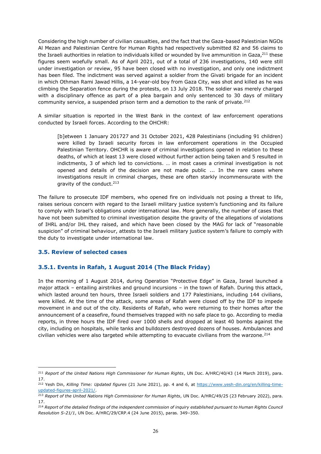Considering the high number of civilian casualties, and the fact that the Gaza-based Palestinian NGOs Al Mezan and Palestinian Centre for Human Rights had respectively submitted 82 and 56 claims to the Israeli authorities in relation to individuals killed or wounded by live ammunition in Gaza, $^{211}$  these figures seem woefully small. As of April 2021, out of a total of 236 investigations, 140 were still under investigation or review, 95 have been closed with no investigation, and only one indictment has been filed. The indictment was served against a soldier from the Givati brigade for an incident in which Othman Rami Jawad Hillis, a 14-year-old boy from Gaza City, was shot and killed as he was climbing the Separation fence during the protests, on 13 July 2018. The soldier was merely charged with a disciplinary offence as part of a plea bargain and only sentenced to 30 days of military community service, a suspended prison term and a demotion to the rank of private.<sup>212</sup>

A similar situation is reported in the West Bank in the context of law enforcement operations conducted by Israeli forces. According to the OHCHR:

[b]etween 1 January 201727 and 31 October 2021, 428 Palestinians (including 91 children) were killed by Israeli security forces in law enforcement operations in the Occupied Palestinian Territory. OHCHR is aware of criminal investigations opened in relation to these deaths, of which at least 13 were closed without further action being taken and 5 resulted in indictments, 3 of which led to convictions. ... in most cases a criminal investigation is not opened and details of the decision are not made public ... In the rare cases where investigations result in criminal charges, these are often starkly incommensurate with the gravity of the conduct.213

The failure to prosecute IDF members, who opened fire on individuals not posing a threat to life, raises serious concern with regard to the Israeli military justice system's functioning and its failure to comply with Israel's obligations under international law. More generally, the number of cases that have not been submitted to criminal investigation despite the gravity of the allegations of violations of IHRL and/or IHL they raised, and which have been closed by the MAG for lack of "reasonable suspicion" of criminal behaviour, attests to the Israeli military justice system's failure to comply with the duty to investigate under international law.

#### **3.5. Review of selected cases**

### **3.5.1. Events in Rafah, 1 August 2014 (The Black Friday)**

In the morning of 1 August 2014, during Operation "Protective Edge" in Gaza, Israel launched a major attack  $-$  entailing airstrikes and ground incursions  $-$  in the town of Rafah. During this attack, which lasted around ten hours, three Israeli soldiers and 177 Palestinians, including 144 civilians, were killed. At the time of the attack, some areas of Rafah were closed off by the IDF to impede movement in and out of the city. Residents of Rafah, who were returning to their homes after the announcement of a ceasefire, found themselves trapped with no safe place to go. According to media reports, in three hours the IDF fired over 1000 shells and dropped at least 40 bombs against the city, including on hospitals, while tanks and bulldozers destroyed dozens of houses. Ambulances and civilian vehicles were also targeted while attempting to evacuate civilians from the warzone.<sup>214</sup>

<sup>&</sup>lt;sup>211</sup> Report of the United Nations High Commissioner for Human Rights, UN Doc. A/HRC/40/43 (14 March 2019), para. 17.

<sup>212</sup> Yesh Din, *Killing Time: Updated figures* (21 June 2021), pp. 4 and 6, at [https://www.yesh-din.org/en/killing-time](https://www.yesh-din.org/en/killing-time-updated-figures-april-2021/)[updated-figures-april-2021/.](https://www.yesh-din.org/en/killing-time-updated-figures-april-2021/)

<sup>&</sup>lt;sup>213</sup> Report of the United Nations High Commissioner for Human Rights, UN Doc. A/HRC/49/25 (23 February 2022), para. 17.

<sup>&</sup>lt;sup>214</sup> Report of the detailed findings of the independent commission of inquiry established pursuant to Human Rights Council *Resolution S-21/1*, UN Doc. A/HRC/29/CRP.4 (24 June 2015), paras. 349-350.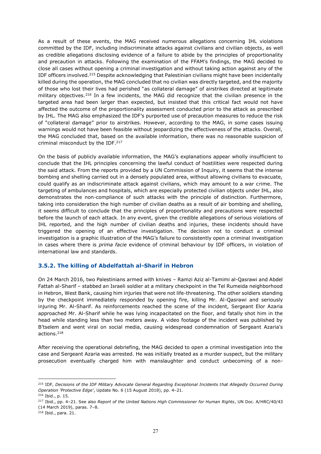As a result of these events, the MAG received numerous allegations concerning IHL violations committed by the IDF, including indiscriminate attacks against civilians and civilian objects, as well as credible allegations disclosing evidence of a failure to abide by the principles of proportionality and precaution in attacks. Following the examination of the FFAM's findings, the MAG decided to close all cases without opening a criminal investigation and without taking action against any of the IDF officers involved.215 Despite acknowledging that Palestinian civilians might have been incidentally killed during the operation, the MAG concluded that no civilian was directly targeted, and the majority of those who lost their lives had perished "as collateral damage" of airstrikes directed at legitimate military objectives.<sup>216</sup> In a few incidents, the MAG did recognize that the civilian presence in the targeted area had been larger than expected, but insisted that this critical fact would not have affected the outcome of the proportionality assessment conducted prior to the attack as prescribed by IHL. The MAG also emphasized the IDF's purported use of precaution measures to reduce the risk of "collateral damage" prior to airstrikes. However, according to the MAG, in some cases issuing warnings would not have been feasible without jeopardizing the effectiveness of the attacks. Overall, the MAG concluded that, based on the available information, there was no reasonable suspicion of criminal misconduct by the IDF.217

On the basis of publicly available information, the MAG's explanations appear wholly insufficient to conclude that the IHL principles concerning the lawful conduct of hostilities were respected during the said attack. From the reports provided by a UN Commission of Inquiry, it seems that the intense bombing and shelling carried out in a densely populated area, without allowing civilians to evacuate, could qualify as an indiscriminate attack against civilians, which may amount to a war crime. The targeting of ambulances and hospitals, which are especially protected civilian objects under IHL, also demonstrates the non-compliance of such attacks with the principle of distinction. Furthermore, taking into consideration the high number of civilian deaths as a result of air bombing and shelling, it seems difficult to conclude that the principles of proportionality and precautions were respected before the launch of each attack. In any event, given the credible allegations of serious violations of IHL reported, and the high number of civilian deaths and injuries, these incidents should have triggered the opening of an effective investigation. The decision not to conduct a criminal investigation is a graphic illustration of the MAG's failure to consistently open a criminal investigation in cases where there is *prima facie* evidence of criminal behaviour by IDF officers, in violation of international law and standards.

#### **3.5.2. The killing of Abdelfattah al-Sharif in Hebron**

On 24 March 2016, two Palestinians armed with knives - Ramzi Aziz al-Tamimi al-Qasrawi and Abdel Fattah al-Sharif - stabbed an Israeli soldier at a military checkpoint in the Tel Rumeida neighborhood in Hebron, West Bank, causing him injuries that were not life-threatening. The other soldiers standing by the checkpoint immediately responded by opening fire, killing Mr. Al-Qasrawi and seriously injuring Mr. Al-Sharif. As reinforcements reached the scene of the incident, Sergeant Elor Azaria approached Mr. Al-Sharif while he was lying incapacitated on the floor, and fatally shot him in the head while standing less than two meters away. A video footage of the incident was published by B'tselem and went viral on social media, causing widespread condemnation of Sergeant Azaria's actions.218

After receiving the operational debriefing, the MAG decided to open a criminal investigation into the case and Sergeant Azaria was arrested. He was initially treated as a murder suspect, but the military prosecution eventually charged him with manslaughter and conduct unbecoming of a non-

<sup>215</sup> IDF, *Decisions of the IDF Military Advocate General Regarding Exceptional Incidents that Allegedly Occurred During Operation 'Protective Edge', Update No. 6 (15 August 2018), pp. 4-21.* <sup>216</sup> Ibid., p. 15.

<sup>217</sup> Ibid., pp. 4±21. See also *Report of the United Nations High Commissioner for Human Rights*, UN Doc. A/HRC/40/43 (14 March 2019), paras. 7-8.

<sup>218</sup> Ibid., para. 21.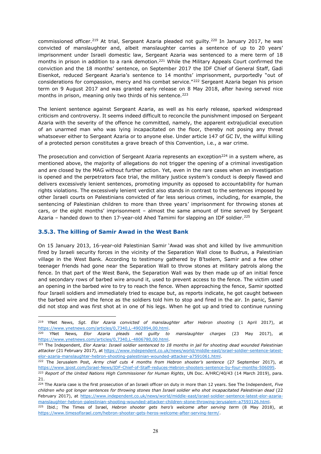commissioned officer.<sup>219</sup> At trial, Sergeant Azaria pleaded not quilty.<sup>220</sup> In January 2017, he was convicted of manslaughter and, albeit manslaughter carries a sentence of up to 20 years' imprisonment under Israeli domestic law, Sergeant Azaria was sentenced to a mere term of 18 months in prison in addition to a rank demotion.<sup>221</sup> While the Military Appeals Court confirmed the conviction and the 18 months' sentence, on September 2017 the IDF Chief of General Staff, Gadi Eisenkot, reduced Sergeant Azaria's sentence to 14 months' imprisonment, purportedly "out of considerations for compassion, mercy and his combat service."<sup>222</sup> Sergeant Azaria began his prison term on 9 August 2017 and was granted early release on 8 May 2018, after having served nice months in prison, meaning only two thirds of his sentence.<sup>223</sup>

The lenient sentence against Sergeant Azaria, as well as his early release, sparked widespread criticism and controversy. It seems indeed difficult to reconcile the punishment imposed on Sergeant Azaria with the severity of the offence he committed, namely, the apparent extrajudicial execution of an unarmed man who was lying incapacitated on the floor, thereby not posing any threat whatsoever either to Sergeant Azaria or to anyone else. Under article 147 of GC IV, the willful killing of a protected person constitutes a grave breach of this Convention, i.e., a war crime.

The prosecution and conviction of Sergeant Azaria represents an exception<sup>224</sup> in a system where, as mentioned above, the majority of allegations do not trigger the opening of a criminal investigation and are closed by the MAG without further action. Yet, even in the rare cases when an investigation is opened and the perpetrators face trial, the military justice system's conduct is deeply flawed and delivers excessively lenient sentences, promoting impunity as opposed to accountability for human rights violations. The excessively lenient verdict also stands in contrast to the sentences imposed by other Israeli courts on Palestinians convicted of far less serious crimes, including, for example, the sentencing of Palestinian children to more than three years' imprisonment for throwing stones at cars, or the eight months' imprisonment - almost the same amount of time served by Sergeant Azaria  $-$  handed down to then 17-year-old Ahed Tamimi for slapping an IDF soldier.<sup>225</sup>

#### **3.5.3. The killing of Samir Awad in the West Bank**

On 15 January 2013, 16-year-old Palestinian Samir `Awad was shot and killed by live ammunition fired by Israeli security forces in the vicinity of the Separation Wall close to Budrus, a Palestinian village in the West Bank. According to testimony gathered by B'tselem, Samir and a few other teenager friends had gone near the Separation Wall to throw stones at military patrols along the fence. In that part of the West Bank, the Separation Wall was by then made up of an initial fence and secondary rows of barbed wire around it, used to prevent access to the fence. The victim used an opening in the barbed wire to try to reach the fence. When approaching the fence, Samir spotted four Israeli soldiers and immediately tried to escape but, as reports indicate, he got caught between the barbed wire and the fence as the soldiers told him to stop and fired in the air. In panic, Samir did not stop and was first shot at in one of his legs. When he got up and tried to continue running

<sup>219</sup> YNet News, *Sgt. Elor Azaria convicted of manslaughter after Hebron shooting* (1 April 2017), at [https://www.ynetnews.com/articles/0,7340,L-4902894,00.html.](https://www.ynetnews.com/articles/0,7340,L-4902894,00.html)

<sup>220</sup> YNet News*, Elor Azaria pleads not guilty to manslaughter charges* (23 May 2017), at [https://www.ynetnews.com/articles/0,7340,L-4806780,00.html.](https://www.ynetnews.com/articles/0,7340,L-4806780,00.html)

<sup>221</sup> The Independent, *Elor Azaria: Israeli soldier sentenced to 18 months in jail for shooting dead wounded Palestinian attacker* (21 February 2017), a[t https://www.independent.co.uk/news/world/middle-east/israel-soldier-sentence-latest](https://www.independent.co.uk/news/world/middle-east/israel-soldier-sentence-latest-elor-azaria-manslaughter-hebron-shooting-palestinian-wounded-attacker-a7591061.html)[elor-azaria-manslaughter-hebron-shooting-palestinian-wounded-attacker-a7591061.html.](https://www.independent.co.uk/news/world/middle-east/israel-soldier-sentence-latest-elor-azaria-manslaughter-hebron-shooting-palestinian-wounded-attacker-a7591061.html)

<sup>&</sup>lt;sup>222</sup> The Jerusalem Post, Army chief cuts 4 months from Hebron shooter's sentence (27 September 2017), at [https://www.jpost.com/Israel-News/IDF-Chief-of-Staff-reduces-Hebron-shooters-sentence-by-four-months-506095.](https://www.jpost.com/Israel-News/IDF-Chief-of-Staff-reduces-Hebron-shooters-sentence-by-four-months-506095)

<sup>223</sup> *Report of the United Nations High Commissioner for Human Rights*, UN Doc. A/HRC/40/43 (14 March 2019), para. 21.

<sup>224</sup> The Azaria case is the first prosecution of an Israeli officer on duty in more than 12 years. See The Independent, *Five children who got longer sentences for throwing stones than Israeli soldier who shot incapacitated Palestinian dead* (22 February 2017), at [https://www.independent.co.uk/news/world/middle-east/israel-soldier-sentence-latest-elor-azaria](https://www.independent.co.uk/news/world/middle-east/israel-soldier-sentence-latest-elor-azaria-manslaughter-hebron-palestinian-shooting-wounded-attacker-children-stone-throwing-jerusalem-a7593126.html)[manslaughter-hebron-palestinian-shooting-wounded-attacker-children-stone-throwing-jerusalem-a7593126.html.](https://www.independent.co.uk/news/world/middle-east/israel-soldier-sentence-latest-elor-azaria-manslaughter-hebron-palestinian-shooting-wounded-attacker-children-stone-throwing-jerusalem-a7593126.html)

<sup>&</sup>lt;sup>225</sup> Ibid.; The Times of Israel, *Hebron shooter gets hero's welcome after serving term* (8 May 2018), at [https://www.timesofisrael.com/hebron-shooter-gets-heros-welcome-after-serving-term/.](https://www.timesofisrael.com/hebron-shooter-gets-heros-welcome-after-serving-term/)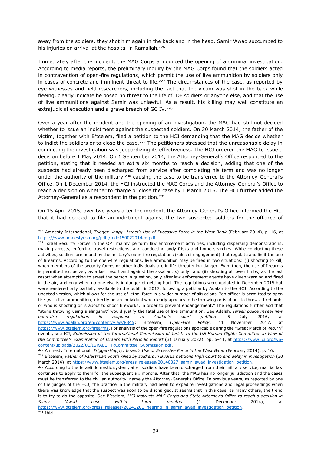away from the soldiers, they shot him again in the back and in the head. Samir `Awad succumbed to his injuries on arrival at the hospital in Ramallah.<sup>226</sup>

Immediately after the incident, the MAG Corps announced the opening of a criminal investigation. According to media reports, the preliminary inquiry by the MAG Corps found that the soldiers acted in contravention of open-fire regulations, which permit the use of live ammunition by soldiers only in cases of concrete and imminent threat to life.<sup>227</sup> The circumstances of the case, as reported by eye witnesses and field researchers, including the fact that the victim was shot in the back while fleeing, clearly indicate he posed no threat to the life of IDF soldiers or anyone else, and that the use of live ammunitions against Samir was unlawful. As a result, his killing may well constitute an extrajudicial execution and a grave breach of GC IV.<sup>228</sup>

Over a year after the incident and the opening of an investigation, the MAG had still not decided whether to issue an indictment against the suspected soldiers. On 30 March 2014, the father of the victim, together with B'tselem, filed a petition to the HCJ demanding that the MAG decide whether to indict the soldiers or to close the case.<sup>229</sup> The petitioners stressed that the unreasonable delay in conducting the investigation was jeopardizing its effectiveness. The HCJ ordered the MAG to issue a decision before 1 May 2014. On 1 September 2014, the Attorney-General's Office responded to the petition, stating that it needed an extra six months to reach a decision, adding that one of the suspects had already been discharged from service after completing his term and was no longer under the authority of the military,  $230$  causing the case to be transferred to the Attorney-General's Office. On 1 December 2014, the HCJ instructed the MAG Corps and the Attorney-General's Office to reach a decision on whether to charge or close the case by 1 March 2015. The HCJ further added the Attorney-General as a respondent in the petition.<sup>231</sup>

On 15 April 2015, over two years after the incident, the Attorney-General's Office informed the HCJ that it had decided to file an indictment against the two suspected soldiers for the offence of

<sup>&</sup>lt;sup>226</sup> Amnesty International, *Trigger-Happy: Israel's Use of Excessive Force in the West Bank* (February 2014), p. 16, at [https://www.amnestyusa.org/pdfs/mde150022014en.pdf.](https://www.amnestyusa.org/pdfs/mde150022014en.pdf)

<sup>&</sup>lt;sup>227</sup> Israel Security Forces in the OPT mainly perform law enforcement activities, including dispersing demonstrations, making arrests, enforcing travel restrictions, and conducting body frisks and home searches. While conducting these activities, soldiers are bound by the military's open-fire regulations (rules of engagement) that regulate and limit the use of firearms. According to the open-fire regulations, live ammunition may be fired in two situations: (i) shooting to kill, when members of the security forces or other individuals are in life-threatening danger. Even then, the use of firearms is permitted exclusively as a last resort and against the assailant(s) only; and (ii) shooting at lower limbs, as the last resort when attempting to arrest the person in question, only after law enforcement agents have given warning and fired in the air, and only when no one else is in danger of getting hurt. The regulations were updated in December 2015 but were rendered only partially available to the public in 2017, following a petition by Adalah to the HCJ. According to the updated version, which allows for the use of lethal force in a wider number of situations, "an officer is permitted to open fire [with live ammunition] directly on an individual who clearly appears to be throwing or is about to throw a firebomb, or who is shooting or is about to shoot fireworks, in order to prevent endangerment." The regulations further add that "stone throwing using a slingshot" would justify the fatal use of live ammunition. See Adalah, *Israeli police reveal new open-firH UHJXODWLRQV LQ UHVSRQVH WR \$GDODK¶V FRXUW SHWLWLRQ*, 5 July 2016, at <https://www.adalah.org/en/content/view/8845>: B'tselem, Open-Fire Policy, 11 November 2017, at [https://www.btselem.org/firearms.](https://www.btselem.org/firearms) For analysis of the open-fire regulations applicable during the "Great March of Return" events, see ICJ, *Submission of the International Commission of Jurists to the UN Human Rights Committee in View of WKH&RPPLWWHH¶V([DPLQDWLRQRI,VUDHO¶V)LIWK3HULRGLF5HSRUW* (31 January 2022), pp. 6±11, at [https://www.icj.org/wp](https://www.icj.org/wp-content/uploads/2022/01/ISRAEL_HRCommittee_Submission.pdf)[content/uploads/2022/01/ISRAEL\\_HRCommittee\\_Submission.pdf.](https://www.icj.org/wp-content/uploads/2022/01/ISRAEL_HRCommittee_Submission.pdf)

<sup>&</sup>lt;sup>228</sup> Amnesty International, *Trigger-Happy: Israel's Use of Excessive Force in the West Bank* (February 2014), p. 16.

<sup>&</sup>lt;sup>229</sup> B'tselem, Father of Palestinian youth killed by soldiers in Budrus petitions High Court to end delay in investigation (30 March 2014), at [https://www.btselem.org/press\\_releases/20140327\\_samir\\_awad\\_investigation\\_petition.](https://www.btselem.org/press_releases/20140327_samir_awad_investigation_petition)

<sup>&</sup>lt;sup>230</sup> According to the Israeli domestic system, after soldiers have been discharged from their military service, martial law continues to apply to them for the subsequent six months. After that, the MAG has no longer jurisdiction and the cases must be transferred to the civilian authority, namely the Attorney-General's Office. In previous years, as reported by one of the judges of the HCJ, the practice in the military had been to expedite investigations and legal proceedings when there was knowledge that the suspect was soon to be discharged. It seems that in this case, as many others, the trend is to try to do the opposite. See B'tselem, HCJ instructs MAG Corps and State Attorney's Office to reach a decision in *Samir* 'Awad case within three months (1 December 2014), at [https://www.btselem.org/press\\_releases/20141201\\_hearing\\_in\\_samir\\_awad\\_investigation\\_petition.](https://www.btselem.org/press_releases/20141201_hearing_in_samir_awad_investigation_petition) <sup>231</sup> Ibid.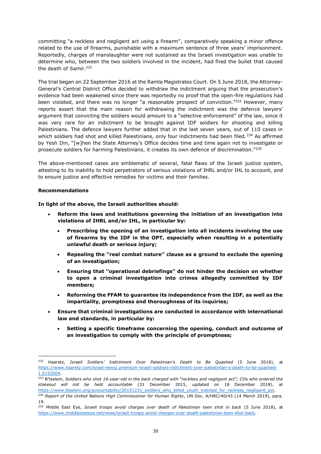committing "a reckless and negligent act using a firearm", comparatively speaking a minor offence related to the use of firearms, punishable with a maximum sentence of three years' imprisonment. Reportedly, charges of manslaughter were not sustained as the Israeli investigation was unable to determine who, between the two soldiers involved in the incident, had fired the bullet that caused the death of Samir.<sup>232</sup>

The trial began on 22 September 2016 at the Ramla Magistrates Court. On 5 June 2018, the Attorney- General's Central District Office decided to withdraw the indictment arguing that the prosecution's evidence had been weakened since there was reportedly no proof that the open-fire regulations had been violated, and there was no longer "a reasonable prospect of conviction." $^{233}$  However, many reports assert that the main reason for withdrawing the indictment was the defence lawyers' argument that convicting the soldiers would amount to a "selective enforcement" of the law, since it was very rare for an indictment to be brought against IDF soldiers for shooting and killing Palestinians. The defence lawyers further added that in the last seven years, out of 110 cases in which soldiers had shot and killed Palestinians, only four indictments had been filed.<sup>234</sup> As affirmed by Yesh Din, "[w]hen the State Attorney's Office decides time and time again not to investigate or prosecute soldiers for harming Palestinians, it creates its own defence of discrimination."235

The above-mentioned cases are emblematic of several, fatal flaws of the Israeli justice system, attesting to its inability to hold perpetrators of serious violations of IHRL and/or IHL to account, and to ensure justice and effective remedies for victims and their families.

#### **Recommendations**

**In light of the above, the Israeli authorities should:**

- x **Reform the laws and institutions governing the initiation of an investigation into violations of IHRL and/or IHL, in particular by:**
	- x **Prescribing the opening of an investigation into all incidents involving the use of firearms by the IDF in the OPT, especially when resulting in a potentially unlawful death or serious injury;**
	- Repealing the "real combat nature" clause as a ground to exclude the opening **of an investigation;**
	- **Ensuring that "operational debriefings" do not hinder the decision on whether to open a criminal investigation into crimes allegedly committed by IDF members;**
	- x **Reforming the FFAM to guarantee its independence from the IDF, as well as the impartiality, promptness and thoroughness of its inquiries;**
- x **Ensure that criminal investigations are conducted in accordance with international law and standards, in particular by:**
	- x **Setting a specific timeframe concerning the opening, conduct and outcome of an investigation to comply with the principle of promptness;**

<sup>&</sup>lt;sup>232</sup> Haaretz, *Israeli Soldiers' Indictment Over Palestinian's Death to Be Quashed* (5 June 2018), at [https://www.haaretz.com/israel-news/.premium-israeli-soldiers-indictment-over-palestinian-s-death-to-be-quashed-](https://www.haaretz.com/israel-news/.premium-israeli-soldiers-indictment-over-palestinian-s-death-to-be-quashed-1.6152004)[1.6152004.](https://www.haaretz.com/israel-news/.premium-israeli-soldiers-indictment-over-palestinian-s-death-to-be-quashed-1.6152004)

<sup>&</sup>lt;sup>233</sup> B'tselem, Soldiers who shot 16-year-old in the back charged with "reckless and negligent act"; COs who ordered the *stakeout will not be held accountable* (31 December 2015, updated on 18 December 2018), at [https://www.btselem.org/accountability/20151231\\_soldiers\\_who\\_killed\\_youth\\_indicted\\_for\\_reckless\\_negligent\\_act.](https://www.btselem.org/accountability/20151231_soldiers_who_killed_youth_indicted_for_reckless_negligent_act)

<sup>&</sup>lt;sup>234</sup> Report of the United Nations High Commissioner for Human Rights, UN Doc. A/HRC/40/43 (14 March 2019), para. 19.

<sup>235</sup> Middle East Eye, *Israeli troops avoid charges over death of Palestinian teen shot in back* (5 June 2018), at [https://www.middleeasteye.net/news/israeli-troops-avoid-charges-over-death-palestinian-teen-shot-back.](https://www.middleeasteye.net/news/israeli-troops-avoid-charges-over-death-palestinian-teen-shot-back)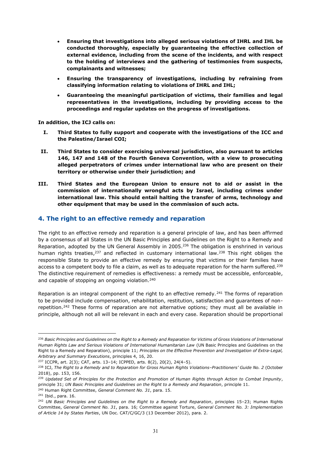- x **Ensuring that investigations into alleged serious violations of IHRL and IHL be conducted thoroughly, especially by guaranteeing the effective collection of external evidence, including from the scene of the incidents, and with respect to the holding of interviews and the gathering of testimonies from suspects, complainants and witnesses;**
- x **Ensuring the transparency of investigations, including by refraining from classifying information relating to violations of IHRL and IHL;**
- x **Guaranteeing the meaningful participation of victims, their families and legal representatives in the investigations, including by providing access to the proceedings and regular updates on the progress of investigations.**

**In addition, the ICJ calls on:**

- **I. Third States to fully support and cooperate with the investigations of the ICC and the Palestine/Israel COI;**
- **II. Third States to consider exercising universal jurisdiction, also pursuant to articles 146, 147 and 148 of the Fourth Geneva Convention, with a view to prosecuting alleged perpetrators of crimes under international law who are present on their territory or otherwise under their jurisdiction; and**
- **III. Third States and the European Union to ensure not to aid or assist in the commission of internationally wrongful acts by Israel, including crimes under international law. This should entail halting the transfer of arms, technology and other equipment that may be used in the commission of such acts.**

#### **4. The right to an effective remedy and reparation**

The right to an effective remedy and reparation is a general principle of law, and has been affirmed by a consensus of all States in the UN Basic Principles and Guidelines on the Right to a Remedy and Reparation, adopted by the UN General Assembly in 2005.236 The obligation is enshrined in various human rights treaties, $237$  and reflected in customary international law. $238$  This right obliges the responsible State to provide an effective remedy by ensuring that victims or their families have access to a competent body to file a claim, as well as to adequate reparation for the harm suffered.<sup>239</sup> The distinctive requirement of remedies is effectiveness: a remedy must be accessible, enforceable, and capable of stopping an ongoing violation.<sup>240</sup>

Reparation is an integral component of the right to an effective remedy.<sup>241</sup> The forms of reparation to be provided include compensation, rehabilitation, restitution, satisfaction and guarantees of nonrepetition.<sup>242</sup> These forms of reparation are not alternative options; they must all be available in principle, although not all will be relevant in each and every case. Reparation should be proportional

<sup>&</sup>lt;sup>236</sup> Basic Principles and Guidelines on the Right to a Remedy and Reparation for Victims of Gross Violations of International *Human Rights Law and Serious Violations of International Humanitarian Law* (UN Basic Principles and Guidelines on the Right to a Remedy and Reparation), principle 11; *Principles on the Effective Prevention and Investigation of Extra-Legal, Arbitrary and Summary Executions*, principles 4, 16, 20.

<sup>237</sup> ICCPR, art. 2(3); CAT, arts. 13-14; ICPPED, arts. 8(2), 20(2), 24(4-5).

<sup>238</sup> ICJ, *The Right to a Remedy and to Reparation for Gross Human Rights Violations±Practitioners¶ Guide No. 2* (October 2018), pp. 153, 156.

<sup>239</sup> *Updated Set of Principles for the Protection and Promotion of Human Rights through Action to Combat Impunity*, principle 31; *UN Basic Principles and Guidelines on the Right to a Remedy and Reparation*, principle 11.

<sup>240</sup> Human Right Committee, *General Comment No. 31*, para. 15.

<sup>241</sup> Ibid., para. 16.

<sup>&</sup>lt;sup>242</sup> *UN Basic Principles and Guidelines on the Right to a Remedy and Reparation*, principles 15-23; Human Rights Committee, *General Comment No. 31*, para. 16; Committee against Torture, *General Comment No. 3: Implementation of Article 14 by States Parties*, UN Doc. CAT/C/GC/3 (13 December 2012), para. 2.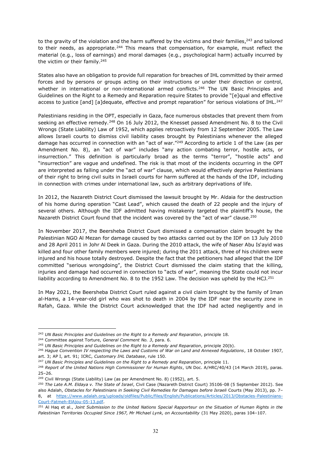to the gravity of the violation and the harm suffered by the victims and their families,<sup>243</sup> and tailored to their needs, as appropriate.<sup>244</sup> This means that compensation, for example, must reflect the material (e.g., loss of earnings) and moral damages (e.g., psychological harm) actually incurred by the victim or their family.<sup>245</sup>

States also have an obligation to provide full reparation for breaches of IHL committed by their armed forces and by persons or groups acting on their instructions or under their direction or control, whether in international or non-international armed conflicts.<sup>246</sup> The UN Basic Principles and Guidelines on the Right to a Remedy and Reparation reguire States to provide "[e]qual and effective access to justice [and] [a]dequate, effective and prompt reparation" for serious violations of IHL.<sup>247</sup>

Palestinians residing in the OPT, especially in Gaza, face numerous obstacles that prevent them from seeking an effective remedy.<sup>248</sup> On 16 July 2012, the Knesset passed Amendment No. 8 to the Civil Wrongs (State Liability) Law of 1952, which applies retroactively from 12 September 2005. The Law allows Israeli courts to dismiss civil liability cases brought by Palestinians whenever the alleged damage has occurred in connection with an "act of war. $^{\prime\prime\prime 249}$  According to article 1 of the Law (as per Amendment No. 8), an "act of war" includes "any action combating terror, hostile acts, or insurrection." This definition is particularly broad as the terms "terror", "hostile acts" and "insurrection" are vague and undefined. The risk is that most of the incidents occurring in the OPT are interpreted as falling under the "act of war" clause, which would effectively deprive Palestinians of their right to bring civil suits in Israeli courts for harm suffered at the hands of the IDF, including in connection with crimes under international law, such as arbitrary deprivations of life.

In 2012, the Nazareth District Court dismissed the lawsuit brought by Mr. Aldaia for the destruction of his home during operation "Cast Lead", which caused the death of 22 people and the injury of several others. Although the IDF admitted having mistakenly targeted the plaintiff's house, the Nazareth District Court found that the incident was covered by the "act of war" clause.<sup>250</sup>

In November 2017, the Beersheba District Court dismissed a compensation claim brought by the Palestinian NGO Al Mezan for damage caused by two attacks carried out by the IDF on 13 July 2010 and 28 April 2011 in Johr Al Deek in Gaza. During the 2010 attack, the wife of Naser Abu Is'ayid was killed and four other family members were injured; during the 2011 attack, three of his children were injured and his house totally destroyed. Despite the fact that the petitioners had alleged that the IDF committed "serious wrongdoing", the District Court dismissed the claim stating that the killing, injuries and damage had occurred in connection to "acts of war", meaning the State could not incur liability according to Amendment No. 8 to the 1952 Law. The decision was upheld by the HCJ.<sup>251</sup>

In May 2021, the Beersheba District Court ruled against a civil claim brought by the family of Iman al-Hams, a 14-year-old girl who was shot to death in 2004 by the IDF near the security zone in Rafah, Gaza. While the District Court acknowledged that the IDF had acted negligently and in

<sup>243</sup> *UN Basic Principles and Guidelines on the Right to a Remedy and Reparation*, principle 18.

<sup>244</sup> Committee against Torture, *General Comment No. 3*, para. 6.

<sup>245</sup> *UN Basic Principles and Guidelines on the Right to a Remedy and Reparation*, principle 20(b).

<sup>246</sup> *Hague Convention IV respecting the Laws and Customs of War on Land and Annexed Regulations*, 18 October 1907, art. 3; AP I, art. 91; ICRC, *Customary IHL Database*, rule 150.

<sup>247</sup> *UN Basic Principles and Guidelines on the Right to a Remedy and Reparation*, principle 11.

<sup>&</sup>lt;sup>248</sup> Report of the United Nations High Commissioner for Human Rights, UN Doc. A/HRC/40/43 (14 March 2019), paras.  $25 - 26.$ 

<sup>&</sup>lt;sup>249</sup> Civil Wrongs (State Liability) Law (as per Amendment No. 8) (1952), art. 5.

<sup>250</sup> *The Late A.M. Eldaya v. The State of Israel*, Civil Case (Nazareth District Court) 35106-08 (5 September 2012). See also Adalah, Obstacles for Palestinians in Seeking Civil Remedies for Damages before Israeli Courts (May 2013), pp. 7-8, at [https://www.adalah.org/uploads/oldfiles/Public/files/English/Publications/Articles/2013/Obstacles-Palestinians-](https://www.adalah.org/uploads/oldfiles/Public/files/English/Publications/Articles/2013/Obstacles-Palestinians-Court-Fatmeh-ElAjou-05-13.pdf)[Court-Fatmeh-ElAjou-05-13.pdf.](https://www.adalah.org/uploads/oldfiles/Public/files/English/Publications/Articles/2013/Obstacles-Palestinians-Court-Fatmeh-ElAjou-05-13.pdf)

<sup>251</sup> Al Haq et al., *Joint Submission to the United Nations Special Rapporteur on the Situation of Human Rights in the*  Palestinian Territories Occupied Since 1967, Mr Michael Lynk, on Accountability (31 May 2020), paras 104-107.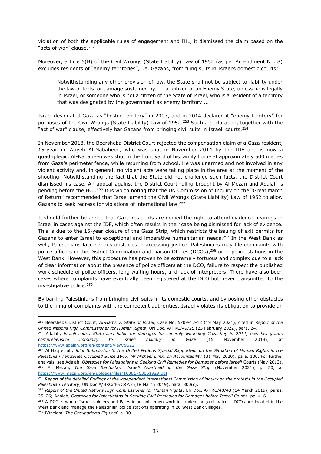violation of both the applicable rules of engagement and IHL, it dismissed the claim based on the "acts of war" clause.<sup>252</sup>

Moreover, article 5(B) of the Civil Wrongs (State Liability) Law of 1952 (as per Amendment No. 8) excludes residents of "enemy territories", i.e. Gazans, from filing suits in Israel's domestic courts:

Notwithstanding any other provision of law, the State shall not be subject to liability under the law of torts for damage sustained by ... [a] citizen of an Enemy State, unless he is legally in Israel, or someone who is not a citizen of the State of Israel, who is a resident of a territory that was designated by the government as enemy territory ...

Israel designated Gaza as "hostile territory" in 2007, and in 2014 declared it "enemy territory" for purposes of the Civil Wrongs (State Liability) Law of 1952.<sup>253</sup> Such a declaration, together with the "act of war" clause, effectively bar Gazans from bringing civil suits in Israeli courts.<sup>254</sup>

In November 2018, the Beersheba District Court rejected the compensation claim of a Gaza resident, 15-year-old Atiyeh Al-Nabaheen, who was shot in November 2014 by the IDF and is now a quadriplegic. Al-Nabaheen was shot in the front yard of his family home at approximately 500 metres from Gaza's perimeter fence, while returning from school. He was unarmed and not involved in any violent activity and, in general, no violent acts were taking place in the area at the moment of the shooting. Notwithstanding the fact that the State did not challenge such facts, the District Court dismissed his case. An appeal against the District Court ruling brought by Al Mezan and Adalah is pending before the HCJ.<sup>255</sup> It is worth noting that the UN Commission of Inquiry on the "Great March of Return" recommended that Israel amend the Civil Wrongs (State Liability) Law of 1952 to allow Gazans to seek redress for violations of international law.256

It should further be added that Gaza residents are denied the right to attend evidence hearings in Israel in cases against the IDF, which often results in their case being dismissed for lack of evidence. This is due to the 15-year closure of the Gaza Strip, which restricts the issuing of exit permits for Gazans to enter Israel to exceptional and imperative humanitarian needs.<sup>257</sup> In the West Bank as well, Palestinians face serious obstacles in accessing justice. Palestinians may file complaints with police officers in the District Coordination and Liaison Offices (DCOs), <sup>258</sup> or in police stations in the West Bank. However, this procedure has proven to be extremely tortuous and complex due to a lack of clear information about the presence of police officers at the DCO, failure to respect the published work schedule of police officers, long waiting hours, and lack of interpreters. There have also been cases where complaints have eventually been registered at the DCO but never transmitted to the investigative police.<sup>259</sup>

By barring Palestinians from bringing civil suits in its domestic courts, and by posing other obstacles to the filing of complaints with the competent authorities, Israel violates its obligation to provide an

<sup>252</sup> Beersheba District Court, *Al-Hams v. State of Israel*, Case No. 5709-12-12 (19 May 2021), cited in *Report of the United Nations High Commissioner for Human Rights*, UN Doc. A/HRC/49/25 (23 February 2022), para. 24.

<sup>253</sup> Adalah, *Israeli court: State isn't liable for damages for severely wounding Gaza boy in 2014; new law grants comprehensive immunity to Israeli military in Gaza* (15 November 2018), at [https://www.adalah.org/en/content/view/9622.](https://www.adalah.org/en/content/view/9622)

<sup>254</sup> Al Haq et al., *Joint Submission to the United Nations Special Rapporteur on the Situation of Human Rights in the Palestinian Territories Occupied Since 1967, Mr Michael Lynk, on Accountability* (31 May 2020), para. 100. For further analysis, see Adalah, *Obstacles for Palestinians in Seeking Civil Remedies for Damages before Israeli* Courts (May 2013). <sup>255</sup> Al Mezan, *The Gaza Bantustan: Israeli Apartheid in the Gaza Strip* (November 2021), p. 50, at [https://www.mezan.org/en/uploads/files/16381763051929.pdf.](https://www.mezan.org/en/uploads/files/16381763051929.pdf)

<sup>256</sup> *Report of the detailed findings of the independent international Commission of inquiry on the protests in the Occupied Palestinian Territory*, UN Doc A/HRC/40/CRP.2 (18 March 2019), para. 800(c).

<sup>257</sup> *Report of the United Nations High Commissioner for Human Rights*, UN Doc. A/HRC/40/43 (14 March 2019), paras. 25-26; Adalah, *Obstacles for Palestinians in Seeking Civil Remedies for Damages before Israeli Courts*, pp. 4-6.

<sup>&</sup>lt;sup>258</sup> A DCO is where Israeli soldiers and Palestinian policemen work in tandem on joint patrols. DCOs are located in the West Bank and manage the Palestinian police stations operating in 26 West Bank villages.

<sup>&</sup>lt;sup>259</sup> B'tselem, The Occupation's Fig Leaf, p. 30.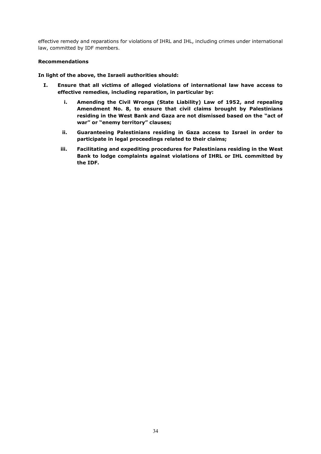effective remedy and reparations for violations of IHRL and IHL, including crimes under international law, committed by IDF members.

#### **Recommendations**

#### **In light of the above, the Israeli authorities should:**

- **I. Ensure that all victims of alleged violations of international law have access to effective remedies, including reparation, in particular by:**
	- **i. Amending the Civil Wrongs (State Liability) Law of 1952, and repealing Amendment No. 8, to ensure that civil claims brought by Palestinians**  residing in the West Bank and Gaza are not dismissed based on the "act of war" or "enemy territory" clauses;
	- **ii. Guaranteeing Palestinians residing in Gaza access to Israel in order to participate in legal proceedings related to their claims;**
	- **iii. Facilitating and expediting procedures for Palestinians residing in the West Bank to lodge complaints against violations of IHRL or IHL committed by the IDF.**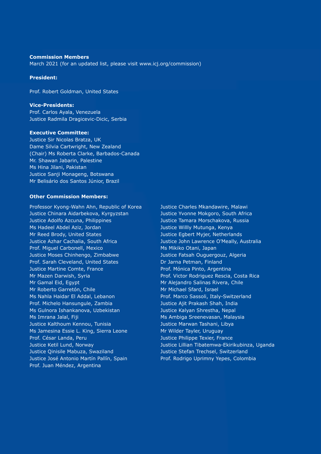#### <span id="page-37-0"></span>**Commission Members**

March 2021 (for an updated list, please visit www.icj.org/commission)

#### **President:**

Prof. Robert Goldman, United States

**Vice-Presidents:** Prof. Carlos Ayala, Venezuela Justice Radmila Dragicevic-Dicic, Serbia

# **Executive Committee:**

Justice Sir Nicolas Bratza, UK Dame Silvia Cartwright, New Zealand (Chair) Ms Roberta Clarke, Barbados-Canada Mr. Shawan Jabarin, Palestine Ms Hina Jilani, Pakistan Justice Sanji Monageng, Botswana Mr Belisário dos Santos Júnior, Brazil

#### **Other Commission Members:**

Professor Kyong-Wahn Ahn, Republic of Korea Justice Chinara Aidarbekova, Kyrgyzstan Justice Adolfo Azcuna, Philippines Ms Hadeel Abdel Aziz, Jordan Mr Reed Brody, United States Justice Azhar Cachalia, South Africa Prof. Miguel Carbonell, Mexico Justice Moses Chinhengo, Zimbabwe Prof. Sarah Cleveland, United States Justice Martine Comte, France Mr Mazen Darwish, Syria Mr Gamal Eid, Egypt Mr Roberto Garretón, Chile Ms Nahla Haidar El Addal, Lebanon Prof. Michelo Hansungule, Zambia Ms Gulnora Ishankanova, Uzbekistan Ms Imrana Jalal, Fiji Justice Kalthoum Kennou, Tunisia Ms Jamesina Essie L. King, Sierra Leone Prof. César Landa, Peru Justice Ketil Lund, Norway Justice Qinisile Mabuza, Swaziland Justice José Antonio Martín Pallín, Spain Prof. Juan Méndez, Argentina

Justice Charles Mkandawire, Malawi Justice Yvonne Mokgoro, South Africa Justice Tamara Morschakova, Russia Justice Willly Mutunga, Kenya Justice Egbert Myjer, Netherlands Justice John Lawrence O'Meally, Australia Ms Mikiko Otani, Japan Justice Fatsah Ouguergouz, Algeria Dr Jarna Petman, Finland Prof. Mónica Pinto, Argentina Prof. Victor Rodriguez Rescia, Costa Rica Mr Alejandro Salinas Rivera, Chile Mr Michael Sfard, Israel Prof. Marco Sassoli, Italy-Switzerland Justice Ajit Prakash Shah, India Justice Kalyan Shrestha, Nepal Ms Ambiga Sreenevasan, Malaysia Justice Marwan Tashani, Libya Mr Wilder Tayler, Uruguay Justice Philippe Texier, France Justice Lillian Tibatemwa-Ekirikubinza, Uganda Justice Stefan Trechsel, Switzerland Prof. Rodrigo Uprimny Yepes, Colombia